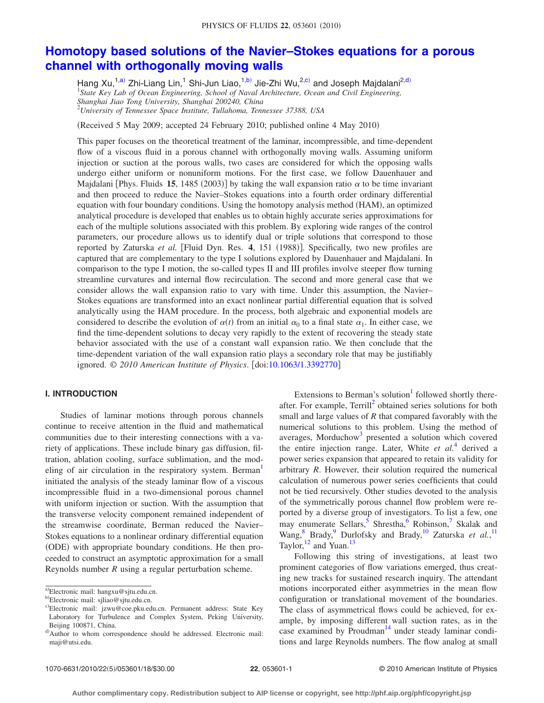# **[Homotopy based solutions of the Navier–Stokes equations for a porous](http://dx.doi.org/10.1063/1.3392770) [channel with orthogonally moving walls](http://dx.doi.org/10.1063/1.3392770)**

Hang Xu,<sup>1[,a](#page-0-0))</sup> Zhi-Liang Lin,<sup>1</sup> Shi-Jun Liao,<sup>1[,b](#page-0-1))</sup> Jie-Zhi Wu,<sup>2[,c](#page-0-2))</sup> and Joseph Majdalani<sup>2[,d](#page-0-3))</sup> 1 *State Key Lab of Ocean Engineering, School of Naval Architecture, Ocean and Civil Engineering, Shanghai Jiao Tong University, Shanghai 200240, China* 2 *University of Tennessee Space Institute, Tullahoma, Tennessee 37388, USA*

(Received 5 May 2009; accepted 24 February 2010; published online 4 May 2010)

This paper focuses on the theoretical treatment of the laminar, incompressible, and time-dependent flow of a viscous fluid in a porous channel with orthogonally moving walls. Assuming uniform injection or suction at the porous walls, two cases are considered for which the opposing walls undergo either uniform or nonuniform motions. For the first case, we follow Dauenhauer and Majdalani [Phys. Fluids 15, 1485 (2003)] by taking the wall expansion ratio  $\alpha$  to be time invariant and then proceed to reduce the Navier–Stokes equations into a fourth order ordinary differential equation with four boundary conditions. Using the homotopy analysis method (HAM), an optimized analytical procedure is developed that enables us to obtain highly accurate series approximations for each of the multiple solutions associated with this problem. By exploring wide ranges of the control parameters, our procedure allows us to identify dual or triple solutions that correspond to those reported by Zaturska *et al.* [Fluid Dyn. Res. 4, 151 (1988)]. Specifically, two new profiles are captured that are complementary to the type I solutions explored by Dauenhauer and Majdalani. In comparison to the type I motion, the so-called types II and III profiles involve steeper flow turning streamline curvatures and internal flow recirculation. The second and more general case that we consider allows the wall expansion ratio to vary with time. Under this assumption, the Navier– Stokes equations are transformed into an exact nonlinear partial differential equation that is solved analytically using the HAM procedure. In the process, both algebraic and exponential models are considered to describe the evolution of  $\alpha(t)$  from an initial  $\alpha_0$  to a final state  $\alpha_1$ . In either case, we find the time-dependent solutions to decay very rapidly to the extent of recovering the steady state behavior associated with the use of a constant wall expansion ratio. We then conclude that the time-dependent variation of the wall expansion ratio plays a secondary role that may be justifiably ignored. © *2010 American Institute of Physics*. doi[:10.1063/1.3392770](http://dx.doi.org/10.1063/1.3392770)

# **I. INTRODUCTION**

Studies of laminar motions through porous channels continue to receive attention in the fluid and mathematical communities due to their interesting connections with a variety of applications. These include binary gas diffusion, filtration, ablation cooling, surface sublimation, and the modeling of air circulation in the respiratory system. Berman<sup>1</sup> initiated the analysis of the steady laminar flow of a viscous incompressible fluid in a two-dimensional porous channel with uniform injection or suction. With the assumption that the transverse velocity component remained independent of the streamwise coordinate, Berman reduced the Navier– Stokes equations to a nonlinear ordinary differential equation (ODE) with appropriate boundary conditions. He then proceeded to construct an asymptotic approximation for a small Reynolds number *R* using a regular perturbation scheme.

Extensions to Berman's solution $<sup>1</sup>$  followed shortly there-</sup> after. For example, Terrill<sup>2</sup> obtained series solutions for both small and large values of *R* that compared favorably with the numerical solutions to this problem. Using the method of averages, Morduchow<sup>3</sup> presented a solution which covered the entire injection range. Later, White *et al.*[4](#page-16-3) derived a power series expansion that appeared to retain its validity for arbitrary *R*. However, their solution required the numerical calculation of numerous power series coefficients that could not be tied recursively. Other studies devoted to the analysis of the symmetrically porous channel flow problem were reported by a diverse group of investigators. To list a few, one may enumerate Sellars,  $5$  Shrestha,  $6$  Robinson,  $7$  Skalak and Wang,<sup>8</sup> Brady,<sup>9</sup> Durlofsky and Brady,<sup>10</sup> Zaturska *et al.*,<sup>[11](#page-16-10)</sup> Taylor,  $^{12}$  and Yuan.<sup>13</sup>

Following this string of investigations, at least two prominent categories of flow variations emerged, thus creating new tracks for sustained research inquiry. The attendant motions incorporated either asymmetries in the mean flow configuration or translational movement of the boundaries. The class of asymmetrical flows could be achieved, for example, by imposing different wall suction rates, as in the case examined by Proudman $^{14}$  under steady laminar conditions and large Reynolds numbers. The flow analog at small

<span id="page-0-0"></span>a)Electronic mail: hangxu@sjtu.edu.cn.

<span id="page-0-1"></span><sup>&</sup>lt;sup>b)</sup>Electronic mail: sjliao@sjtu.edu.cn.

<span id="page-0-2"></span>c)Electronic mail: jzwu@coe.pku.edu.cn. Permanent address: State Key Laboratory for Turbulence and Complex System, Peking University, Beijing 100871, China.

<span id="page-0-3"></span>d) Author to whom correspondence should be addressed. Electronic mail: maji@utsi.edu.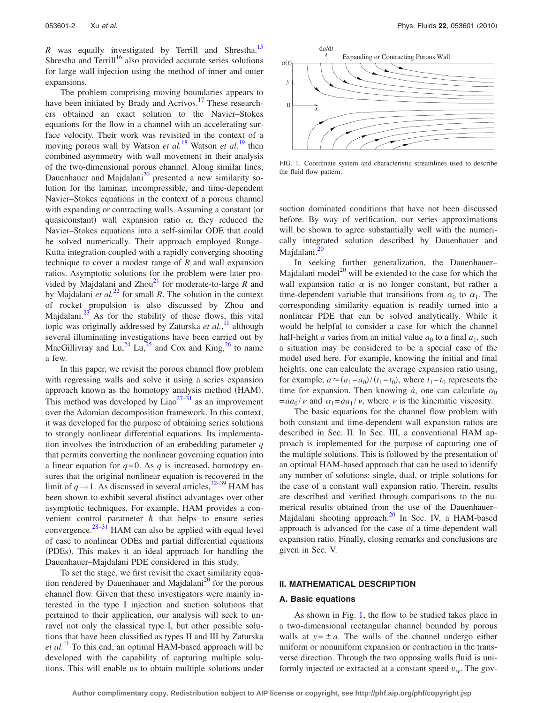*R* was equally investigated by Terrill and Shrestha.<sup>15</sup> Shrestha and Terrill<sup>16</sup> also provided accurate series solutions for large wall injection using the method of inner and outer expansions.

The problem comprising moving boundaries appears to have been initiated by Brady and Acrivos.<sup>17</sup> These researchers obtained an exact solution to the Navier–Stokes equations for the flow in a channel with an accelerating surface velocity. Their work was revisited in the context of a moving porous wall by Watson *et al.*[18](#page-16-17) Watson *et al.*[19](#page-16-18) then combined asymmetry with wall movement in their analysis of the two-dimensional porous channel. Along similar lines, Dauenhauer and Majdalani<sup>20</sup> presented a new similarity solution for the laminar, incompressible, and time-dependent Navier–Stokes equations in the context of a porous channel with expanding or contracting walls. Assuming a constant (or quasiconstant) wall expansion ratio  $\alpha$ , they reduced the Navier–Stokes equations into a self-similar ODE that could be solved numerically. Their approach employed Runge– Kutta integration coupled with a rapidly converging shooting technique to cover a modest range of *R* and wall expansion ratios. Asymptotic solutions for the problem were later provided by Majdalani and  $Zhou<sup>21</sup>$  for moderate-to-large  $R$  and by Majdalani *et al.*[22](#page-16-21) for small *R*. The solution in the context of rocket propulsion is also discussed by Zhou and Majdalani. $^{23}$  As for the stability of these flows, this vital topic was originally addressed by Zaturska *et al.*, [11](#page-16-10) although several illuminating investigations have been carried out by MacGillivray and Lu,<sup>24</sup> Lu,<sup>25</sup> and Cox and King,<sup>26</sup> to name a few.

In this paper, we revisit the porous channel flow problem with regressing walls and solve it using a series expansion approach known as the homotopy analysis method (HAM). This method was developed by  $Liao^{27-31}$  as an improvement over the Adomian decomposition framework. In this context, it was developed for the purpose of obtaining series solutions to strongly nonlinear differential equations. Its implementation involves the introduction of an embedding parameter *q* that permits converting the nonlinear governing equation into a linear equation for  $q=0$ . As q is increased, homotopy ensures that the original nonlinear equation is recovered in the limit of  $q \rightarrow 1$ . As discussed in several articles,<sup>32[–39](#page-17-1)</sup> HAM has been shown to exhibit several distinct advantages over other asymptotic techniques. For example, HAM provides a convenient control parameter  $\hbar$  that helps to ensure series convergence.<sup>[28–](#page-16-28)[31](#page-16-27)</sup> HAM can also be applied with equal level of ease to nonlinear ODEs and partial differential equations (PDEs). This makes it an ideal approach for handling the Dauenhauer–Majdalani PDE considered in this study.

To set the stage, we first revisit the exact similarity equation rendered by Dauenhauer and Majdalani $^{20}$  for the porous channel flow. Given that these investigators were mainly interested in the type I injection and suction solutions that pertained to their application, our analysis will seek to unravel not only the classical type I, but other possible solutions that have been classified as types II and III by Zaturska *et al.*[11](#page-16-10) To this end, an optimal HAM-based approach will be developed with the capability of capturing multiple solutions. This will enable us to obtain multiple solutions under

<span id="page-1-0"></span>

FIG. 1. Coordinate system and characteristic streamlines used to describe the fluid flow pattern.

suction dominated conditions that have not been discussed before. By way of verification, our series approximations will be shown to agree substantially well with the numerically integrated solution described by Dauenhauer and Majdalani.<sup>20</sup>

In seeking further generalization, the Dauenhauer– Majdalani model $^{20}$  will be extended to the case for which the wall expansion ratio  $\alpha$  is no longer constant, but rather a time-dependent variable that transitions from  $\alpha_0$  to  $\alpha_1$ . The corresponding similarity equation is readily turned into a nonlinear PDE that can be solved analytically. While it would be helpful to consider a case for which the channel half-height *a* varies from an initial value  $a_0$  to a final  $a_1$ , such a situation may be considered to be a special case of the model used here. For example, knowing the initial and final heights, one can calculate the average expansion ratio using, for example,  $\dot{a} \approx (a_1 - a_0)/(t_1 - t_0)$ , where  $t_1 - t_0$  represents the time for expansion. Then knowing  $\dot{a}$ , one can calculate  $\alpha_0$  $=$ *a* $a_0$  *v* and  $\alpha_1 =$ *a* $a_1 / v$ , where *v* is the kinematic viscosity.

The basic equations for the channel flow problem with both constant and time-dependent wall expansion ratios are described in Sec. II. In Sec. III, a conventional HAM approach is implemented for the purpose of capturing one of the multiple solutions. This is followed by the presentation of an optimal HAM-based approach that can be used to identify any number of solutions: single, dual, or triple solutions for the case of a constant wall expansion ratio. Therein, results are described and verified through comparisons to the numerical results obtained from the use of the Dauenhauer– Majdalani shooting approach. $^{20}$  In Sec. IV, a HAM-based approach is advanced for the case of a time-dependent wall expansion ratio. Finally, closing remarks and conclusions are given in Sec. V.

### **II. MATHEMATICAL DESCRIPTION**

#### **A. Basic equations**

As shown in Fig. [1,](#page-1-0) the flow to be studied takes place in a two-dimensional rectangular channel bounded by porous walls at  $y = \pm a$ . The walls of the channel undergo either uniform or nonuniform expansion or contraction in the transverse direction. Through the two opposing walls fluid is uniformly injected or extracted at a constant speed  $v_w$ . The gov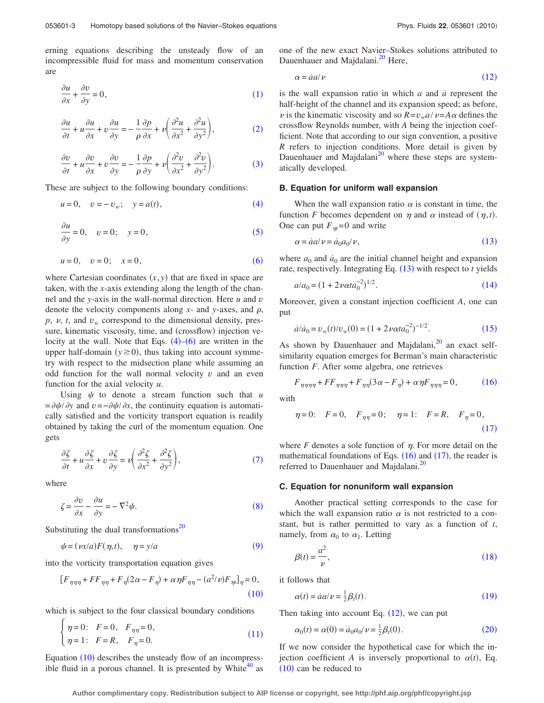erning equations describing the unsteady flow of an incompressible fluid for mass and momentum conservation are

<span id="page-2-0"></span>
$$
\frac{\partial u}{\partial x} + \frac{\partial v}{\partial y} = 0,\tag{1}
$$

<span id="page-2-1"></span>
$$
\frac{\partial u}{\partial t} + u \frac{\partial u}{\partial x} + v \frac{\partial u}{\partial y} = -\frac{1}{\rho} \frac{\partial p}{\partial x} + v \left( \frac{\partial^2 u}{\partial x^2} + \frac{\partial^2 u}{\partial y^2} \right),\tag{2}
$$

<span id="page-2-2"></span>
$$
\frac{\partial v}{\partial t} + u \frac{\partial v}{\partial x} + v \frac{\partial v}{\partial y} = -\frac{1}{\rho} \frac{\partial p}{\partial y} + v \left( \frac{\partial^2 v}{\partial x^2} + \frac{\partial^2 v}{\partial y^2} \right).
$$
 (3)

<span id="page-2-3"></span>These are subject to the following boundary conditions:

$$
u = 0
$$
,  $v = -v_w$ ;  $y = a(t)$ , (4)

<span id="page-2-4"></span>
$$
\frac{\partial u}{\partial y} = 0, \quad v = 0; \quad y = 0,
$$
\n(5)

<span id="page-2-5"></span>
$$
u = 0, \quad v = 0; \quad x = 0,
$$
 (6)

where Cartesian coordinates  $(x, y)$  that are fixed in space are taken, with the *x*-axis extending along the length of the channel and the *y*-axis in the wall-normal direction. Here *u* and *v* denote the velocity components along  $x$ - and  $y$ -axes, and  $\rho$ ,  $p$ ,  $v$ ,  $t$ , and  $v_w$  correspond to the dimensional density, pressure, kinematic viscosity, time, and (crossflow) injection velocity at the wall. Note that Eqs.  $(4)$  $(4)$  $(4)$ – $(6)$  $(6)$  $(6)$  are written in the upper half-domain  $(y \ge 0)$ , thus taking into account symmetry with respect to the midsection plane while assuming an odd function for the wall normal velocity *v* and an even function for the axial velocity *u*.

Using  $\psi$  to denote a stream function such that  $\mu$  $=$  $\frac{\partial \psi}{\partial y}$  and  $v = -\frac{\partial \psi}{\partial x}$ , the continuity equation is automatically satisfied and the vorticity transport equation is readily obtained by taking the curl of the momentum equation. One gets

<span id="page-2-6"></span>
$$
\frac{\partial \zeta}{\partial t} + u \frac{\partial \zeta}{\partial x} + v \frac{\partial \zeta}{\partial y} = \nu \left( \frac{\partial^2 \zeta}{\partial x^2} + \frac{\partial^2 \zeta}{\partial y^2} \right),\tag{7}
$$

<span id="page-2-7"></span>where

 $\epsilon$ 

$$
\zeta = \frac{\partial v}{\partial x} - \frac{\partial u}{\partial y} = -\nabla^2 \psi.
$$
\n(8)

<span id="page-2-8"></span>Substituting the dual transformations<sup>20</sup>

$$
\psi = (\nu x/a)F(\eta, t), \quad \eta = y/a \tag{9}
$$

<span id="page-2-9"></span>into the vorticity transportation equation gives

$$
[F_{\eta\eta\eta} + FF_{\eta\eta} + F_{\eta}(2\alpha - F_{\eta}) + \alpha\eta F_{\eta\eta} - (a^2/\nu)F_{\eta\eta}]_{\eta} = 0,
$$
\n(10)

<span id="page-2-10"></span>which is subject to the four classical boundary conditions

$$
\begin{cases}\n\eta = 0: & F = 0, \quad F_{\eta \eta} = 0, \\
\eta = 1: & F = R, \quad F_{\eta} = 0.\n\end{cases}
$$
\n(11)

Equation ([10](#page-2-9)) describes the unsteady flow of an incompressible fluid in a porous channel. It is presented by White $40$  as one of the new exact Navier–Stokes solutions attributed to Dauenhauer and Majdalani.<sup>20</sup> Here,

<span id="page-2-11"></span>
$$
\alpha = \dot{a}a/\nu \tag{12}
$$

is the wall expansion ratio in which *a* and *a˙* represent the half-height of the channel and its expansion speed; as before,  $\nu$  is the kinematic viscosity and so  $R = v_w a / \nu = A \alpha$  defines the crossflow Reynolds number, with *A* being the injection coefficient. Note that according to our sign convention, a positive *R* refers to injection conditions. More detail is given by Dauenhauer and Majdalani<sup>20</sup> where these steps are systematically developed.

#### **B. Equation for uniform wall expansion**

When the wall expansion ratio  $\alpha$  is constant in time, the function *F* becomes dependent on  $\eta$  and  $\alpha$  instead of  $(\eta, t)$ . One can put  $F_{nt} = 0$  and write

$$
\alpha = \dot{a}a/\nu = \dot{a}_0 a_0/\nu,\tag{13}
$$

<span id="page-2-12"></span>where  $a_0$  and  $\dot{a}_0$  are the initial channel height and expansion rate, respectively. Integrating Eq. ([13](#page-2-12)) with respect to *t* yields

<span id="page-2-13"></span>
$$
a/a_0 = (1 + 2\nu \alpha t a_0^{-2})^{1/2}.
$$
\n(14)

Moreover, given a constant injection coefficient *A*, one can put

$$
\dot{a}/\dot{a}_0 = v_w(t)/v_w(0) = (1 + 2\nu \alpha t a_0^{-2})^{-1/2}.
$$
 (15)

<span id="page-2-14"></span>As shown by Dauenhauer and Majdalani, $^{20}$  an exact selfsimilarity equation emerges for Berman's main characteristic function *F*. After some algebra, one retrieves

<span id="page-2-15"></span>
$$
F_{\eta\eta\eta\eta} + FF_{\eta\eta\eta} + F_{\eta\eta}(3\alpha - F_{\eta}) + \alpha\eta F_{\eta\eta\eta} = 0, \qquad (16)
$$

<span id="page-2-16"></span>with

$$
\eta = 0;
$$
  $F = 0,$   $F_{\eta\eta} = 0;$   $\eta = 1;$   $F = R,$   $F_{\eta} = 0,$  (17)

where  $F$  denotes a sole function of  $\eta$ . For more detail on the mathematical foundations of Eqs.  $(16)$  $(16)$  $(16)$  and  $(17)$  $(17)$  $(17)$ , the reader is referred to Dauenhauer and Majdalani.<sup>20</sup>

#### **C. Equation for nonuniform wall expansion**

Another practical setting corresponds to the case for which the wall expansion ratio  $\alpha$  is not restricted to a constant, but is rather permitted to vary as a function of *t*, namely, from  $\alpha_0$  to  $\alpha_1$ . Letting

<span id="page-2-17"></span>
$$
\beta(t) = \frac{a^2}{\nu},\tag{18}
$$

<span id="page-2-18"></span>it follows that

$$
\alpha(t) = \dot{a}a/\nu = \frac{1}{2}\beta_t(t). \tag{19}
$$

<span id="page-2-19"></span>Then taking into account Eq.  $(12)$  $(12)$  $(12)$ , we can put

$$
\alpha_0(t) = \alpha(0) = \dot{a}_0 a_0 / \nu = \frac{1}{2} \beta_t(0). \tag{20}
$$

If we now consider the hypothetical case for which the injection coefficient *A* is inversely proportional to  $\alpha(t)$ , Eq.  $(10)$  $(10)$  $(10)$  can be reduced to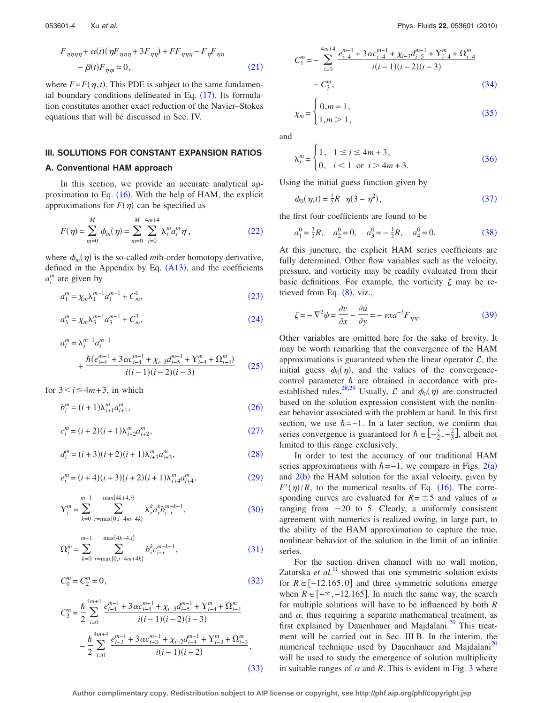<span id="page-3-0"></span>
$$
F_{\eta\eta\eta\eta} + \alpha(t)(\eta F_{\eta\eta\eta} + 3F_{\eta\eta}) + FF_{\eta\eta\eta} - F_{\eta}F_{\eta\eta}
$$

$$
- \beta(t)F_{\eta\eta t} = 0,
$$
 (21)

where  $F = F(\eta, t)$ . This PDE is subject to the same fundamental boundary conditions delineated in Eq.  $(17)$  $(17)$  $(17)$ . Its formulation constitutes another exact reduction of the Navier–Stokes equations that will be discussed in Sec. IV.

# **III. SOLUTIONS FOR CONSTANT EXPANSION RATIOS**

#### **A. Conventional HAM approach**

In this section, we provide an accurate analytical approximation to Eq.  $(16)$  $(16)$  $(16)$ . With the help of HAM, the explicit approximations for  $F(\eta)$  can be specified as

<span id="page-3-1"></span>
$$
F(\eta) = \sum_{m=0}^{M} \phi_m(\eta) = \sum_{m=0}^{M} \sum_{i=0}^{4m+4} \lambda_i^m a_i^m \eta^i,
$$
 (22)

where  $\phi_m(\eta)$  is the so-called *m*th-order homotopy derivative, defined in the Appendix by Eq.  $(A13)$  $(A13)$  $(A13)$ , and the coefficients  $a_i^m$  are given by

<span id="page-3-2"></span>
$$
a_1^m = \chi_m \lambda_1^{m-1} a_1^{m-1} + C_m^1,
$$
\n(23)

<span id="page-3-3"></span>
$$
a_3^m = \chi_m \lambda_3^{m-1} a_3^{m-1} + C_m^3,
$$
\n(24)

<span id="page-3-4"></span>
$$
a_i^m = \lambda_i^{m-1} a_i^{m-1}
$$
  
+ 
$$
\frac{\hbar (e_{i-4}^{m-1} + 3 \alpha c_{i-4}^{m-1} + \chi_{i-3} d_{i-5}^{m-1} + \Upsilon_{i-4}^m + \Omega_{i-4}^m)}{i(i-1)(i-2)(i-3)}
$$
 (25)

<span id="page-3-5"></span>for  $3 < i \leq 4m + 3$ , in which

$$
b_i^m = (i+1)\lambda_{i+1}^m a_{i+1}^m,\tag{26}
$$

<span id="page-3-6"></span>
$$
c_i^m = (i+2)(i+1)\lambda_{i+2}^m a_{i+2}^m,
$$
\n(27)

<span id="page-3-7"></span>
$$
d_i^m = (i+3)(i+2)(i+1)\lambda_{i+3}^m a_{i+3}^m,
$$
\n(28)

<span id="page-3-8"></span>
$$
e_i^m = (i+4)(i+3)(i+2)(i+1)\lambda_{i+4}^m a_{i+4}^m,
$$
\n(29)

<span id="page-3-9"></span>
$$
Y_i^m = \sum_{k=0}^{m-1} \sum_{r=\max\{0, i-4m+4k\}}^{\max\{4k+4, i\}} \lambda_r^k a_r^k b_{i-r}^{m-k-1},
$$
 (30)

<span id="page-3-10"></span>
$$
\Omega_i^m = \sum_{k=0}^{m-1} \sum_{r=\max\{0,i-4m+4k\}}^{\max\{4k+4,i\}} b_r^k c_{i-r}^{m-k-1},\tag{31}
$$

<span id="page-3-11"></span>
$$
C_0^m = C_2^m = 0,\t\t(32)
$$

<span id="page-3-12"></span>
$$
C_3^m = \frac{\hbar^4}{2} \sum_{i=0}^{4m+4} \frac{e_{i-4}^{m-1} + 3\alpha c_{i-4}^{m-1} + \chi_{i-3} d_{i-5}^{m-1} + \Upsilon_{i-4}^m + \Omega_{i-4}^m}{i(i-1)(i-2)(i-3)} - \frac{\hbar^4}{2} \sum_{i=0}^{4m+4} \frac{e_{i-3}^{m-1} + 3\alpha c_{i-3}^{m-1} + \chi_{i-2} d_{i-4}^{m-1} + \Upsilon_{i-3}^m + \Omega_{i-3}^m}{i(i-1)(i-2)},
$$
\n(33)

<span id="page-3-13"></span>
$$
C_1^m = -\sum_{i=0}^{4m+4} \frac{e_{i-4}^{m-1} + 3\alpha c_{i-4}^{m-1} + \chi_{i-3} d_{i-5}^{m-1} + \Upsilon_{i-4}^m + \Omega_{i-4}^m}{i(i-1)(i-2)(i-3)}
$$
  
- C\_3^m, (34)

<span id="page-3-14"></span>
$$
\chi_m = \begin{cases} 0, m = 1, \\ 1, m > 1, \end{cases}
$$
 (35)

<span id="page-3-15"></span>and

$$
\lambda_i^m = \begin{cases} 1, & 1 \le i \le 4m+3, \\ 0, & i < 1 \text{ or } i > 4m+3. \end{cases}
$$
 (36)

<span id="page-3-16"></span>Using the initial guess function given by

$$
\phi_0(\eta, t) = \frac{1}{2}R \quad \eta(3 - \eta^2),\tag{37}
$$

<span id="page-3-17"></span>the first four coefficients are found to be

$$
a_1^0 = \frac{3}{2}R
$$
,  $a_2^0 = 0$ ,  $a_3^0 = -\frac{1}{2}R$ ,  $a_4^0 = 0$ . (38)

At this juncture, the explicit HAM series coefficients are fully determined. Other flow variables such as the velocity, pressure, and vorticity may be readily evaluated from their basic definitions. For example, the vorticity  $\zeta$  may be retrieved from Eq.  $(8)$  $(8)$  $(8)$ , viz.,

<span id="page-3-18"></span>
$$
\zeta = -\nabla^2 \psi = \frac{\partial v}{\partial x} - \frac{\partial u}{\partial y} = -\nu x a^{-3} F_{\eta \eta}.
$$
\n(39)

Other variables are omitted here for the sake of brevity. It may be worth remarking that the convergence of the HAM approximations is guaranteed when the linear operator  $\mathcal{L}$ , the initial guess  $\phi_0(\eta)$ , and the values of the convergencecontrol parameter  $\hbar$  are obtained in accordance with pre-established rules.<sup>28,[29](#page-16-30)</sup> Usually,  $\mathcal{L}$  and  $\phi_0(\eta)$  are constructed based on the solution expression consistent with the nonlinear behavior associated with the problem at hand. In this first section, we use  $\hbar = -1$ . In a later section, we confirm that series convergence is guaranteed for  $\hbar \in \left[-\frac{3}{2}, -\frac{2}{3}\right]$ , albeit not limited to this range exclusively.

In order to test the accuracy of our traditional HAM series approximations with  $\hbar = -1$ , we compare in Figs. [2](#page-4-0)(a) and  $2(b)$  $2(b)$  the HAM solution for the axial velocity, given by  $F'(\eta)/R$ , to the numerical results of Eq. ([16](#page-2-15)). The corresponding curves are evaluated for  $R = \pm 5$  and values of  $\alpha$ ranging from  $-20$  to 5. Clearly, a uniformly consistent agreement with numerics is realized owing, in large part, to the ability of the HAM approximation to capture the true, nonlinear behavior of the solution in the limit of an infinite series.

For the suction driven channel with no wall motion, Zaturska *et al.*<sup>[11](#page-16-10)</sup> showed that one symmetric solution exists for  $R \in [-12.165, 0]$  and three symmetric solutions emerge when  $R \in [-\infty, -12.165]$ . In much the same way, the search for multiple solutions will have to be influenced by both *R* and  $\alpha$ , thus requiring a separate mathematical treatment, as first explained by Dauenhauer and Majdalani. $^{20}$  This treatment will be carried out in Sec. III B. In the interim, the numerical technique used by Dauenhauer and Majdalani<sup>20</sup> will be used to study the emergence of solution multiplicity in suitable ranges of  $\alpha$  and *R*. This is evident in Fig. [3](#page-4-1) where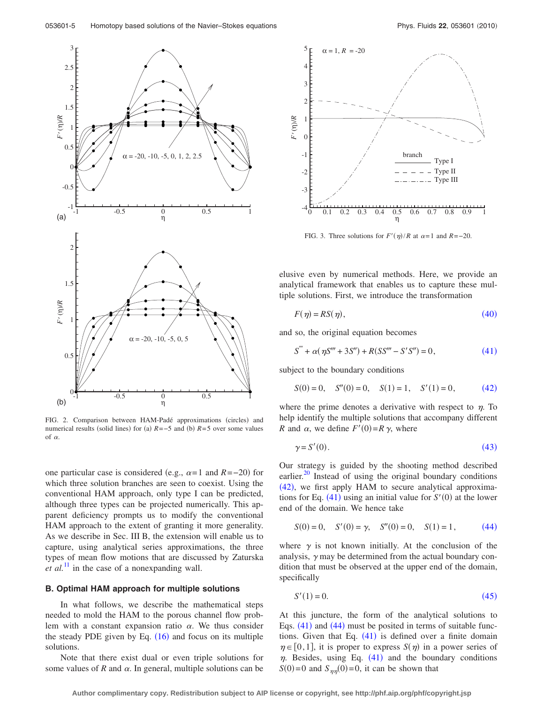<span id="page-4-0"></span>

FIG. 2. Comparison between HAM-Padé approximations (circles) and numerical results (solid lines) for (a)  $R = -5$  and (b)  $R = 5$  over some values of  $\alpha$ .

one particular case is considered (e.g.,  $\alpha = 1$  and  $R = -20$ ) for which three solution branches are seen to coexist. Using the conventional HAM approach, only type I can be predicted, although three types can be projected numerically. This apparent deficiency prompts us to modify the conventional HAM approach to the extent of granting it more generality. As we describe in Sec. III B, the extension will enable us to capture, using analytical series approximations, the three types of mean flow motions that are discussed by Zaturska *et al.*<sup>[11](#page-16-10)</sup> in the case of a nonexpanding wall.

## **B. Optimal HAM approach for multiple solutions**

In what follows, we describe the mathematical steps needed to mold the HAM to the porous channel flow problem with a constant expansion ratio  $\alpha$ . We thus consider the steady PDE given by Eq.  $(16)$  $(16)$  $(16)$  and focus on its multiple solutions.

Note that there exist dual or even triple solutions for some values of  $R$  and  $\alpha$ . In general, multiple solutions can be

<span id="page-4-1"></span>

FIG. 3. Three solutions for  $F'(\eta)/R$  at  $\alpha = 1$  and  $R = -20$ .

elusive even by numerical methods. Here, we provide an analytical framework that enables us to capture these multiple solutions. First, we introduce the transformation

<span id="page-4-2"></span>
$$
F(\eta) = RS(\eta),\tag{40}
$$

<span id="page-4-3"></span>and so, the original equation becomes

$$
S''' + \alpha(\eta S''' + 3S'') + R(SS''' - S'S'') = 0,
$$
\n(41)

<span id="page-4-4"></span>subject to the boundary conditions

$$
S(0) = 0, \quad S''(0) = 0, \quad S(1) = 1, \quad S'(1) = 0,\tag{42}
$$

where the prime denotes a derivative with respect to  $\eta$ . To help identify the multiple solutions that accompany different *R* and  $\alpha$ , we define  $F'(0) = R \gamma$ , where

<span id="page-4-5"></span>
$$
\gamma = S'(0). \tag{43}
$$

Our strategy is guided by the shooting method described earlier.<sup>20</sup> Instead of using the original boundary conditions  $(42)$  $(42)$  $(42)$ , we first apply HAM to secure analytical approximations for Eq.  $(41)$  $(41)$  $(41)$  using an initial value for  $S'(0)$  at the lower end of the domain. We hence take

<span id="page-4-6"></span>
$$
S(0) = 0, \quad S'(0) = \gamma, \quad S''(0) = 0, \quad S(1) = 1, \tag{44}
$$

where  $\gamma$  is not known initially. At the conclusion of the analysis,  $\gamma$  may be determined from the actual boundary condition that must be observed at the upper end of the domain, specifically

<span id="page-4-7"></span>
$$
S'(1) = 0.\tag{45}
$$

At this juncture, the form of the analytical solutions to Eqs.  $(41)$  $(41)$  $(41)$  and  $(44)$  $(44)$  $(44)$  must be posited in terms of suitable functions. Given that Eq.  $(41)$  $(41)$  $(41)$  is defined over a finite domain  $\eta \in [0,1]$ , it is proper to express  $S(\eta)$  in a power series of  $\eta$ . Besides, using Eq. ([41](#page-4-3)) and the boundary conditions  $S(0)=0$  and  $S_{\eta\eta}(0)=0$ , it can be shown that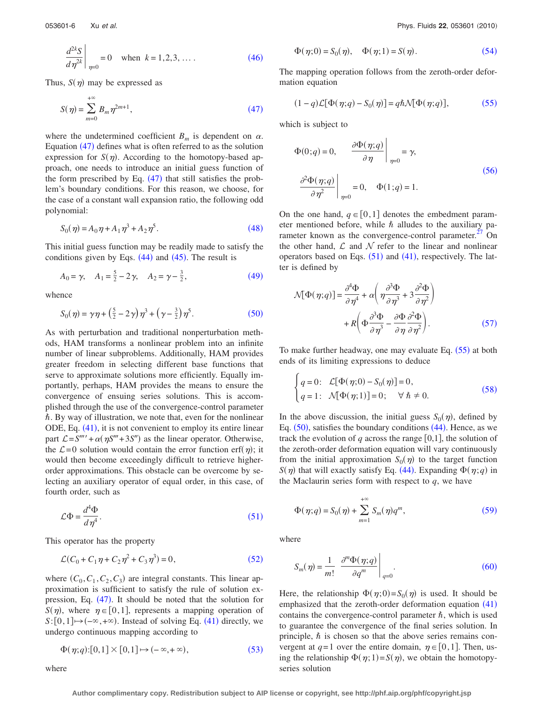<span id="page-5-0"></span>
$$
\left. \frac{d^{2k} S}{d \eta^{2k}} \right|_{\eta = 0} = 0 \quad \text{when } k = 1, 2, 3, .... \tag{46}
$$

<span id="page-5-1"></span>Thus,  $S(\eta)$  may be expressed as

$$
S(\eta) = \sum_{m=0}^{+\infty} B_m \eta^{2m+1},
$$
\n(47)

where the undetermined coefficient  $B_m$  is dependent on  $\alpha$ . Equation  $(47)$  $(47)$  $(47)$  defines what is often referred to as the solution expression for  $S(\eta)$ . According to the homotopy-based approach, one needs to introduce an initial guess function of the form prescribed by Eq.  $(47)$  $(47)$  $(47)$  that still satisfies the problem's boundary conditions. For this reason, we choose, for the case of a constant wall expansion ratio, the following odd polynomial:

<span id="page-5-2"></span>
$$
S_0(\eta) = A_0 \eta + A_1 \eta^3 + A_2 \eta^5. \tag{48}
$$

This initial guess function may be readily made to satisfy the conditions given by Eqs.  $(44)$  $(44)$  $(44)$  and  $(45)$  $(45)$  $(45)$ . The result is

<span id="page-5-3"></span>
$$
A_0 = \gamma, \quad A_1 = \frac{5}{2} - 2\gamma, \quad A_2 = \gamma - \frac{3}{2},
$$
 (49)

<span id="page-5-4"></span>whence

$$
S_0(\eta) = \gamma \eta + \left(\frac{5}{2} - 2\gamma\right) \eta^3 + \left(\gamma - \frac{3}{2}\right) \eta^5. \tag{50}
$$

As with perturbation and traditional nonperturbation methods, HAM transforms a nonlinear problem into an infinite number of linear subproblems. Additionally, HAM provides greater freedom in selecting different base functions that serve to approximate solutions more efficiently. Equally importantly, perhaps, HAM provides the means to ensure the convergence of ensuing series solutions. This is accomplished through the use of the convergence-control parameter -. By way of illustration, we note that, even for the nonlinear ODE, Eq. ([41](#page-4-3)), it is not convenient to employ its entire linear part  $\mathcal{L} = S^{''''} + \alpha(\eta S''' + 3S'')$  as the linear operator. Otherwise, the  $\mathcal{L}=0$  solution would contain the error function erf( $\eta$ ); it would then become exceedingly difficult to retrieve higherorder approximations. This obstacle can be overcome by selecting an auxiliary operator of equal order, in this case, of fourth order, such as

<span id="page-5-5"></span>
$$
\mathcal{L}\Phi = \frac{d^4\Phi}{d\eta^4}.\tag{51}
$$

<span id="page-5-6"></span>This operator has the property

$$
\mathcal{L}(C_0 + C_1 \eta + C_2 \eta^2 + C_3 \eta^3) = 0,
$$
\n(52)

where  $(C_0, C_1, C_2, C_3)$  are integral constants. This linear approximation is sufficient to satisfy the rule of solution ex-pression, Eq. ([47](#page-5-1)). It should be noted that the solution for *S*( $\eta$ ), where  $\eta \in [0,1]$ , represents a mapping operation of  $S: [0,1] \rightarrow (-\infty, +\infty)$ . Instead of solving Eq. ([41](#page-4-3)) directly, we undergo continuous mapping according to

$$
\Phi(\eta;q) : [0,1] \times [0,1] \mapsto (-\infty,+\infty),\tag{53}
$$

<span id="page-5-8"></span>
$$
\Phi(\eta;0) = S_0(\eta), \quad \Phi(\eta;1) = S(\eta). \tag{54}
$$

The mapping operation follows from the zeroth-order deformation equation

<span id="page-5-9"></span>
$$
(1-q)\mathcal{L}[\Phi(\eta;q) - S_0(\eta)] = q\hbar \mathcal{N}[\Phi(\eta;q)],\tag{55}
$$

<span id="page-5-10"></span>which is subject to

$$
\Phi(0;q) = 0, \qquad \frac{\partial \Phi(\eta;q)}{\partial \eta}\Big|_{\eta=0} = \gamma,
$$
\n
$$
\frac{\partial^2 \Phi(\eta;q)}{\partial \eta^2}\Big|_{\eta=0} = 0, \quad \Phi(1;q) = 1.
$$
\n(56)

On the one hand,  $q \in [0,1]$  denotes the embedment parameter mentioned before, while  $\hbar$  alludes to the auxiliary parameter known as the convergence-control parameter.<sup>27</sup> On the other hand,  $\mathcal L$  and  $\mathcal N$  refer to the linear and nonlinear operators based on Eqs.  $(51)$  $(51)$  $(51)$  and  $(41)$  $(41)$  $(41)$ , respectively. The latter is defined by

<span id="page-5-11"></span>
$$
\mathcal{M}\Phi(\eta;q)\big] = \frac{\partial^4 \Phi}{\partial \eta^4} + \alpha \bigg(\eta \frac{\partial^3 \Phi}{\partial \eta^3} + 3 \frac{\partial^2 \Phi}{\partial \eta^2}\bigg) + R \bigg(\Phi \frac{\partial^3 \Phi}{\partial \eta^3} - \frac{\partial \Phi}{\partial \eta} \frac{\partial^2 \Phi}{\partial \eta^2}\bigg).
$$
 (57)

To make further headway, one may evaluate Eq. ([55](#page-5-9)) at both ends of its limiting expressions to deduce

<span id="page-5-12"></span>
$$
\begin{cases}\n q = 0: \quad \mathcal{L}[\Phi(\eta;0) - S_0(\eta)] = 0, \\
 q = 1: \quad \mathcal{N}[\Phi(\eta;1)] = 0; \quad \forall \ \hbar \neq 0.\n\end{cases}
$$
\n(58)

In the above discussion, the initial guess  $S_0(\eta)$ , defined by Eq.  $(50)$  $(50)$  $(50)$ , satisfies the boundary conditions  $(44)$  $(44)$  $(44)$ . Hence, as we track the evolution of  $q$  across the range  $[0,1]$ , the solution of the zeroth-order deformation equation will vary continuously from the initial approximation  $S_0(\eta)$  to the target function *S*( $\eta$ ) that will exactly satisfy Eq. ([44](#page-4-6)). Expanding  $\Phi(\eta; q)$  in the Maclaurin series form with respect to  $q$ , we have

<span id="page-5-13"></span>
$$
\Phi(\eta; q) = S_0(\eta) + \sum_{m=1}^{+\infty} S_m(\eta) q^m,
$$
\n(59)

<span id="page-5-14"></span>where

$$
S_m(\eta) = \frac{1}{m!} \left. \frac{\partial^m \Phi(\eta; q)}{\partial q^m} \right|_{q=0}.
$$
 (60)

Here, the relationship  $\Phi(\eta; 0) = S_0(\eta)$  is used. It should be emphasized that the zeroth-order deformation equation ([41](#page-4-3)) contains the convergence-control parameter  $\hbar$ , which is used to guarantee the convergence of the final series solution. In principle,  $\hbar$  is chosen so that the above series remains convergent at  $q=1$  over the entire domain,  $\eta \in [0,1]$ . Then, using the relationship  $\Phi(\eta; 1) = S(\eta)$ , we obtain the homotopyseries solution

**Author complimentary copy. Redistribution subject to AIP license or copyright, see http://phf.aip.org/phf/copyright.jsp**

<span id="page-5-7"></span>where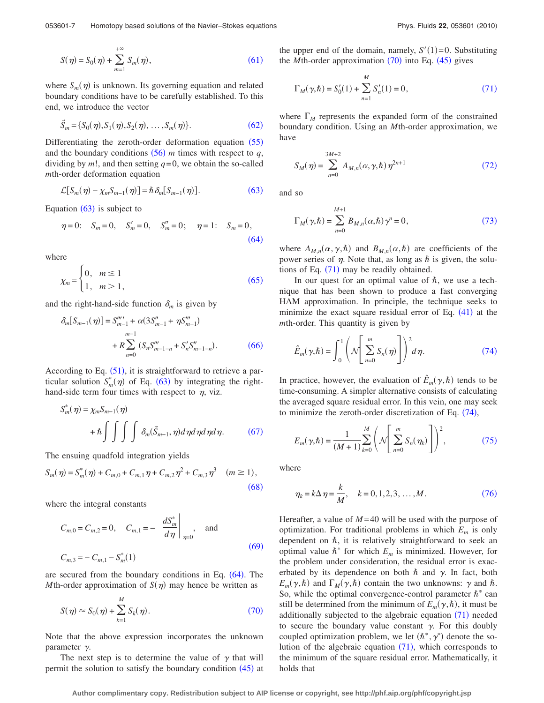<span id="page-6-0"></span>
$$
S(\eta) = S_0(\eta) + \sum_{m=1}^{+\infty} S_m(\eta), \qquad (61)
$$

where  $S_m(\eta)$  is unknown. Its governing equation and related boundary conditions have to be carefully established. To this end, we introduce the vector

<span id="page-6-1"></span>
$$
\vec{S}_m = \{ S_0(\eta), S_1(\eta), S_2(\eta), \dots, S_m(\eta) \}.
$$
 (62)

Differentiating the zeroth-order deformation equation  $(55)$  $(55)$  $(55)$ and the boundary conditions  $(56)$  $(56)$  $(56)$  *m* times with respect to *q*, dividing by  $m!$ , and then setting  $q=0$ , we obtain the so-called *m*th-order deformation equation

<span id="page-6-2"></span>
$$
\mathcal{L}[S_m(\eta) - \chi_m S_{m-1}(\eta)] = \hbar \,\delta_m[S_{m-1}(\eta)].\tag{63}
$$

<span id="page-6-3"></span>Equation  $(63)$  $(63)$  $(63)$  is subject to

$$
\eta = 0;
$$
  $S_m = 0$ ,  $S'_m = 0$ ,  $S''_m = 0$ ;  $\eta = 1;$   $S_m = 0$ , (64)

<span id="page-6-4"></span>where

$$
\chi_m = \begin{cases} 0, & m \le 1 \\ 1, & m > 1 \end{cases} \tag{65}
$$

<span id="page-6-5"></span>and the right-hand-side function  $\delta_m$  is given by

$$
\delta_m[S_{m-1}(\eta)] = S_{m-1}'''' + \alpha(3S_{m-1}'' + \eta S_{m-1}''')
$$
  
+  $R \sum_{n=0}^{m-1} (S_n S_{m-1-n}'' + S_n' S_{m-1-n}'').$  (66)

According to Eq.  $(51)$  $(51)$  $(51)$ , it is straightforward to retrieve a particular solution  $S_m^*(\eta)$  of Eq. ([63](#page-6-2)) by integrating the righthand-side term four times with respect to  $\eta$ , viz.

<span id="page-6-6"></span>
$$
S_m^*(\eta) = \chi_m S_{m-1}(\eta)
$$
  
+  $\hbar \int \int \int \int \delta_m(\vec{S}_{m-1}, \eta) d\eta d\eta d\eta d\eta$ . (67)

The ensuing quadfold integration yields

<span id="page-6-7"></span>
$$
S_m(\eta) = S_m^*(\eta) + C_{m,0} + C_{m,1}\eta + C_{m,2}\eta^2 + C_{m,3}\eta^3 \quad (m \ge 1),
$$
\n(68)

<span id="page-6-8"></span>where the integral constants

$$
C_{m,0} = C_{m,2} = 0, \quad C_{m,1} = -\left. \frac{dS_m^*}{d\eta} \right|_{\eta = 0}, \quad \text{and}
$$
  

$$
C_{m,3} = -C_{m,1} - S_m^*(1)
$$
 (69)

are secured from the boundary conditions in Eq.  $(64)$  $(64)$  $(64)$ . The *M*th-order approximation of  $S(\eta)$  may hence be written as

<span id="page-6-9"></span>
$$
S(\eta) \approx S_0(\eta) + \sum_{k=1}^{M} S_k(\eta). \tag{70}
$$

Note that the above expression incorporates the unknown parameter  $\gamma$ .

The next step is to determine the value of  $\gamma$  that will permit the solution to satisfy the boundary condition  $(45)$  $(45)$  $(45)$  at the upper end of the domain, namely,  $S'(1)=0$ . Substituting the *M*th-order approximation  $(70)$  $(70)$  $(70)$  into Eq.  $(45)$  $(45)$  $(45)$  gives

<span id="page-6-10"></span>
$$
\Gamma_M(\gamma, \hbar) = S_0'(1) + \sum_{n=1}^{M} S_n'(1) = 0,
$$
\n(71)

where  $\Gamma_M$  represents the expanded form of the constrained boundary condition. Using an *M*th-order approximation, we have

<span id="page-6-11"></span>
$$
S_M(\eta) = \sum_{n=0}^{3M+2} A_{M,n}(\alpha, \gamma, \hbar) \eta^{2n+1}
$$
 (72)

<span id="page-6-12"></span>and so

$$
\Gamma_M(\gamma,\hbar) = \sum_{n=0}^{M+1} B_{M,n}(\alpha,\hbar) \gamma^n = 0,
$$
\n(73)

where  $A_{M,n}(\alpha, \gamma, \hbar)$  and  $B_{M,n}(\alpha, \hbar)$  are coefficients of the power series of  $\eta$ . Note that, as long as  $\hbar$  is given, the solutions of Eq.  $(71)$  $(71)$  $(71)$  may be readily obtained.

In our quest for an optimal value of  $\hbar$ , we use a technique that has been shown to produce a fast converging HAM approximation. In principle, the technique seeks to minimize the exact square residual error of Eq.  $(41)$  $(41)$  $(41)$  at the *m*th-order. This quantity is given by

<span id="page-6-13"></span>
$$
\hat{E}_m(\gamma,\hbar) = \int_0^1 \left( \mathcal{N} \left[ \sum_{n=0}^m S_n(\eta) \right] \right)^2 d\eta. \tag{74}
$$

In practice, however, the evaluation of  $\hat{E}_m(\gamma, \hbar)$  tends to be time-consuming. A simpler alternative consists of calculating the averaged square residual error. In this vein, one may seek to minimize the zeroth-order discretization of Eq. ([74](#page-6-13)),

<span id="page-6-14"></span>
$$
E_m(\gamma, \hbar) = \frac{1}{(M+1)} \sum_{k=0}^{M} \left( \mathcal{N} \left[ \sum_{n=0}^{m} S_n(\eta_k) \right] \right)^2, \tag{75}
$$

<span id="page-6-15"></span>where

$$
\eta_k = k \Delta \eta = \frac{k}{M}, \quad k = 0, 1, 2, 3, \dots, M. \tag{76}
$$

Hereafter, a value of  $M=40$  will be used with the purpose of optimization. For traditional problems in which *Em* is only dependent on  $\hbar$ , it is relatively straightforward to seek an optimal value  $\hbar^*$  for which  $E_m$  is minimized. However, for the problem under consideration, the residual error is exacerbated by its dependence on both  $\hbar$  and  $\gamma$ . In fact, both  $E_m(\gamma, \hbar)$  and  $\Gamma_M(\gamma, \hbar)$  contain the two unknowns:  $\gamma$  and  $\hbar$ . So, while the optimal convergence-control parameter  $\hbar^*$  can still be determined from the minimum of  $E_m(\gamma, \hbar)$ , it must be additionally subjected to the algebraic equation ([71](#page-6-10)) needed to secure the boundary value constant  $\gamma$ . For this doubly coupled optimization problem, we let  $(\hbar^*, \gamma^*)$  denote the solution of the algebraic equation  $(71)$  $(71)$  $(71)$ , which corresponds to the minimum of the square residual error. Mathematically, it holds that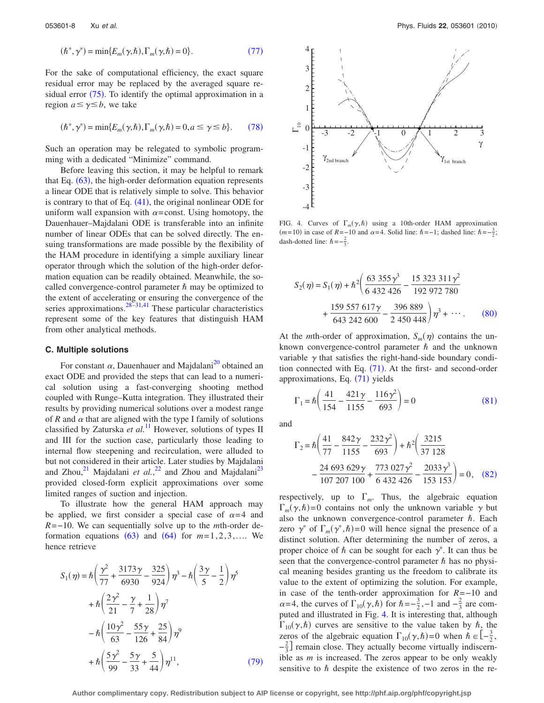<span id="page-7-0"></span>
$$
(\hbar^*, \gamma^*) = \min\{E_m(\gamma, \hbar), \Gamma_m(\gamma, \hbar) = 0\}.
$$
 (77)

For the sake of computational efficiency, the exact square residual error may be replaced by the averaged square residual error  $(75)$  $(75)$  $(75)$ . To identify the optimal approximation in a region  $a \leq \gamma \leq b$ , we take

<span id="page-7-1"></span>
$$
(\hbar^*, \gamma^*) = \min\{E_m(\gamma, \hbar), \Gamma_m(\gamma, \hbar) = 0, a \le \gamma \le b\}.
$$
 (78)

Such an operation may be relegated to symbolic programming with a dedicated "Minimize" command.

Before leaving this section, it may be helpful to remark that Eq.  $(63)$  $(63)$  $(63)$ , the high-order deformation equation represents a linear ODE that is relatively simple to solve. This behavior is contrary to that of Eq.  $(41)$  $(41)$  $(41)$ , the original nonlinear ODE for uniform wall expansion with  $\alpha$ =const. Using homotopy, the Dauenhauer–Majdalani ODE is transferable into an infinite number of linear ODEs that can be solved directly. The ensuing transformations are made possible by the flexibility of the HAM procedure in identifying a simple auxiliary linear operator through which the solution of the high-order deformation equation can be readily obtained. Meanwhile, the socalled convergence-control parameter  $\hbar$  may be optimized to the extent of accelerating or ensuring the convergence of the series approximations. $28\overline{-31,41}$  $28\overline{-31,41}$  $28\overline{-31,41}$  These particular characteristics represent some of the key features that distinguish HAM from other analytical methods.

#### **C. Multiple solutions**

For constant  $\alpha$ , Dauenhauer and Majdalani<sup>20</sup> obtained an exact ODE and provided the steps that can lead to a numerical solution using a fast-converging shooting method coupled with Runge–Kutta integration. They illustrated their results by providing numerical solutions over a modest range of  $R$  and  $\alpha$  that are aligned with the type I family of solutions classified by Zaturska *et al.*[11](#page-16-10) However, solutions of types II and III for the suction case, particularly those leading to internal flow steepening and recirculation, were alluded to but not considered in their article. Later studies by Majdalani and Zhou,<sup>21</sup> Majdalani *et al.*,<sup>[22](#page-16-21)</sup> and Zhou and Majdalani<sup>23</sup> provided closed-form explicit approximations over some limited ranges of suction and injection.

To illustrate how the general HAM approach may be applied, we first consider a special case of  $\alpha = 4$  and *R*=−10. We can sequentially solve up to the *m*th-order deformation equations  $(63)$  $(63)$  $(63)$  and  $(64)$  $(64)$  $(64)$  for  $m=1, 2, 3, \ldots$  We hence retrieve

<span id="page-7-2"></span>
$$
S_1(\eta) = \hbar \left( \frac{\gamma^2}{77} + \frac{3173\gamma}{6930} - \frac{325}{924} \right) \eta^3 - \hbar \left( \frac{3\gamma}{5} - \frac{1}{2} \right) \eta^5
$$
  
+ 
$$
\hbar \left( \frac{2\gamma^2}{21} - \frac{\gamma}{7} + \frac{1}{28} \right) \eta^7
$$
  
- 
$$
\hbar \left( \frac{10\gamma^2}{63} - \frac{55\gamma}{126} + \frac{25}{84} \right) \eta^9
$$
  
+ 
$$
\hbar \left( \frac{5\gamma^2}{99} - \frac{5\gamma}{33} + \frac{5}{44} \right) \eta^{11},
$$
 (79)

<span id="page-7-6"></span>

FIG. 4. Curves of  $\Gamma_m(\gamma, \hbar)$  using a 10th-order HAM approximation  $(m=10)$  in case of  $R = -10$  and  $\alpha = 4$ . Solid line:  $\hbar = -1$ ; dashed line:  $\hbar = -\frac{3}{2}$ ; dash-dotted line:  $\hbar = -\frac{2}{3}$ .

<span id="page-7-3"></span>
$$
S_2(\eta) = S_1(\eta) + \hbar^2 \left( \frac{63\ 355\ \gamma^3}{6\ 432\ 426} - \frac{15\ 323\ 311\ \gamma^2}{192\ 972\ 780} + \frac{159\ 557\ 617\ \gamma}{643\ 242\ 600} - \frac{396\ 889}{2\ 450\ 448} \right)\eta^3 + \cdots. \tag{80}
$$

At the *m*th-order of approximation,  $S_m(\eta)$  contains the unknown convergence-control parameter  $\hbar$  and the unknown variable  $\gamma$  that satisfies the right-hand-side boundary condition connected with Eq.  $(71)$  $(71)$  $(71)$ . At the first- and second-order approximations, Eq. ([71](#page-6-10)) yields

<span id="page-7-4"></span>
$$
\Gamma_1 = \hbar \left( \frac{41}{154} - \frac{421\gamma}{1155} - \frac{116\gamma^2}{693} \right) = 0
$$
 (81)

<span id="page-7-5"></span>and

$$
\Gamma_2 = \hbar \left( \frac{41}{77} - \frac{842\gamma}{1155} - \frac{232\gamma^2}{693} \right) + \hbar^2 \left( \frac{3215}{37128} - \frac{24693629\gamma}{107207100} + \frac{773027\gamma^2}{6432426} - \frac{2033\gamma^3}{153153} \right) = 0, \quad (82)
$$

respectively, up to  $\Gamma_m$ . Thus, the algebraic equation  $\Gamma_m(\gamma, \hbar) = 0$  contains not only the unknown variable  $\gamma$  but also the unknown convergence-control parameter  $h$ . Each zero  $\gamma^*$  of  $\Gamma_m(\gamma^*, \hbar) = 0$  will hence signal the presence of a distinct solution. After determining the number of zeros, a proper choice of  $\hbar$  can be sought for each  $\gamma^*$ . It can thus be seen that the convergence-control parameter  $\hbar$  has no physical meaning besides granting us the freedom to calibrate its value to the extent of optimizing the solution. For example, in case of the tenth-order approximation for *R*=−10 and  $\alpha$ =4, the curves of  $\Gamma_{10}(\gamma,\hbar)$  for  $\hbar = -\frac{3}{2}, -1$  and  $-\frac{2}{3}$  are computed and illustrated in Fig. [4.](#page-7-6) It is interesting that, although  $\Gamma_{10}(\gamma,\hbar)$  curves are sensitive to the value taken by  $\hbar$ , the zeros of the algebraic equation  $\Gamma_{10}(\gamma,\hbar) = 0$  when  $\hbar \in \left[-\frac{3}{2},\right]$  $-\frac{2}{3}$  remain close. They actually become virtually indiscernible as *m* is increased. The zeros appear to be only weakly sensitive to  $\hbar$  despite the existence of two zeros in the re-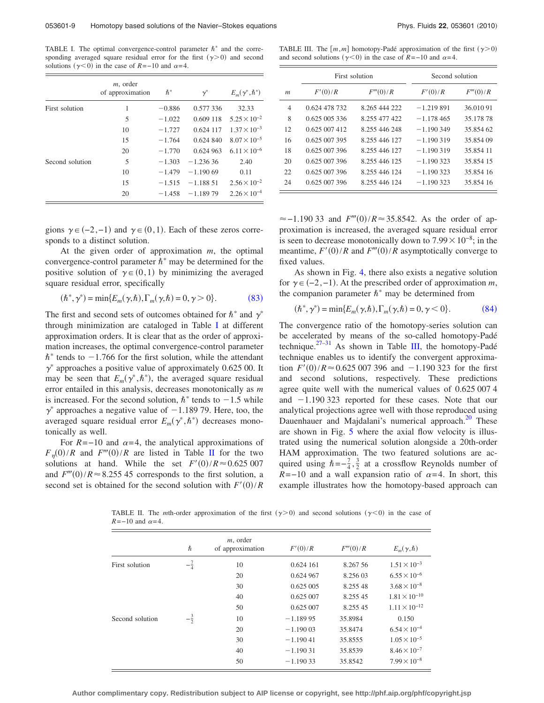<span id="page-8-1"></span>TABLE I. The optimal convergence-control parameter  $h^*$  and the corresponding averaged square residual error for the first  $(\gamma > 0)$  and second solutions ( $\gamma$ <0) in the case of *R*=−10 and  $\alpha$ =4.

|                 | $m$ , order<br>of approximation | $\hbar^*$ | $\gamma^*$  | $E_m(\gamma^*,\hbar^*)$ |
|-----------------|---------------------------------|-----------|-------------|-------------------------|
| First solution  | 1                               | $-0.886$  | 0.577 336   | 32.33                   |
|                 | 5                               | $-1.022$  | 0.609 118   | $5.25 \times 10^{-2}$   |
|                 | 10                              | $-1.727$  | 0.624 117   | $1.37 \times 10^{-3}$   |
|                 | 15                              | $-1.764$  | $0.624$ 840 | $8.07 \times 10^{-5}$   |
|                 | 20                              | $-1.770$  | 0.624 963   | $6.11 \times 10^{-6}$   |
| Second solution | 5                               | $-1.303$  | $-1.23636$  | 2.40                    |
|                 | 10                              | $-1.479$  | $-1.19069$  | 0.11                    |
|                 | 15                              | $-1.515$  | $-1.18851$  | $2.56 \times 10^{-2}$   |
|                 | 20                              | $-1.458$  | $-1.18979$  | $2.26 \times 10^{-4}$   |

gions  $\gamma \in (-2, -1)$  and  $\gamma \in (0, 1)$ . Each of these zeros corresponds to a distinct solution.

At the given order of approximation *m*, the optimal convergence-control parameter  $\hbar^*$  may be determined for the positive solution of  $\gamma \in (0,1)$  by minimizing the averaged square residual error, specifically

$$
(\hbar^*, \gamma^*) = \min\{E_m(\gamma, \hbar), \Gamma_m(\gamma, \hbar) = 0, \gamma > 0\}.
$$
 (83)

<span id="page-8-0"></span>The first and second sets of outcomes obtained for  $\hbar^*$  and  $\gamma^*$ through minimization are cataloged in Table [I](#page-8-1) at different approximation orders. It is clear that as the order of approximation increases, the optimal convergence-control parameter  $\hbar^*$  tends to  $-1.766$  for the first solution, while the attendant  $\gamma^*$  approaches a positive value of approximately 0.625 00. It may be seen that  $E_m(\gamma^*, \hbar^*)$ , the averaged square residual error entailed in this analysis, decreases monotonically as *m* is increased. For the second solution,  $\hbar^*$  tends to  $-1.5$  while  $\gamma^*$  approaches a negative value of  $-1.189$  79. Here, too, the averaged square residual error  $E_m(\gamma^*, \hbar^*)$  decreases monotonically as well.

<span id="page-8-2"></span>For  $R = -10$  and  $\alpha = 4$ , the analytical approximations of  $F_{\eta}(0)/R$  and  $F'''(0)/R$  are listed in Table [II](#page-8-2) for the two solutions at hand. While the set  $F'(0)/R \approx 0.625007$ and  $F'''(0)/R \approx 8.255$  45 corresponds to the first solution, a second set is obtained for the second solution with  $F'(0)/R$ 

<span id="page-8-4"></span>TABLE III. The  $[m, m]$  homotopy-Padé approximation of the first  $(\gamma > 0)$ and second solutions ( $\gamma$ <0) in the case of *R*=−10 and  $\alpha$ =4.

|                |               | First solution | Second solution |           |
|----------------|---------------|----------------|-----------------|-----------|
| m              | F'(0)/R       | F'''(0)/R      | F'(0)/R         | F'''(0)/R |
| $\overline{4}$ | 0.624 478 732 | 8.265 444 222  | $-1.219891$     | 36.010 91 |
| 8              | 0.625 005 336 | 8.255 477 422  | $-1.178465$     | 35.178.78 |
| 12             | 0.625.007.412 | 8.255.446.248  | $-1.190349$     | 35.854.62 |
| 16             | 0.625 007 395 | 8.255 446 127  | $-1.190319$     | 35.854.09 |
| 18             | 0.625 007 396 | 8.255 446 127  | $-1.190319$     | 35.854.11 |
| 20             | 0.625 007 396 | 8.255 446 125  | $-1.190333$     | 35.854 15 |
| 22             | 0.625 007 396 | 8.255 446 124  | $-1.190333$     | 35.854 16 |
| 24             | 0.625 007 396 | 8.255 446 124  | $-1.190333$     | 35.854.16 |

 $\approx$  -1.190 33 and  $F'''(0)/R \approx 35.8542$ . As the order of approximation is increased, the averaged square residual error is seen to decrease monotonically down to  $7.99\times10^{-8}$ ; in the meantime,  $F'(0)/R$  and  $F'''(0)/R$  asymptotically converge to fixed values.

As shown in Fig. [4,](#page-7-6) there also exists a negative solution for  $\gamma \in (-2, -1)$ . At the prescribed order of approximation *m*, the companion parameter  $\hbar^*$  may be determined from

$$
(\hbar^*, \gamma^*) = \min\{E_m(\gamma, \hbar), \Gamma_m(\gamma, \hbar) = 0, \gamma < 0\}.\tag{84}
$$

<span id="page-8-3"></span>The convergence ratio of the homotopy-series solution can be accelerated by means of the so-called homotopy-Padé technique.<sup>27–[31](#page-16-27)</sup> As shown in Table [III,](#page-8-4) the homotopy-Padé technique enables us to identify the convergent approximation  $F'(0)/R \approx 0.625\,007\,396$  and  $-1.190\,323$  for the first and second solutions, respectively. These predictions agree quite well with the numerical values of 0.625 007 4 and  $-1.190$  323 reported for these cases. Note that our analytical projections agree well with those reproduced using Dauenhauer and Majdalani's numerical approach.<sup>20</sup> These are shown in Fig. [5](#page-9-0) where the axial flow velocity is illustrated using the numerical solution alongside a 20th-order HAM approximation. The two featured solutions are acquired using  $\hbar = -\frac{7}{4}, \frac{3}{2}$  at a crossflow Reynolds number of  $R=-10$  and a wall expansion ratio of  $\alpha=4$ . In short, this example illustrates how the homotopy-based approach can

TABLE II. The *m*th-order approximation of the first  $(\gamma > 0)$  and second solutions  $(\gamma < 0)$  in the case of  $R=-10$  and  $\alpha=4$ .

|                 | $\hbar$        | $m$ , order<br>of approximation | F'(0)/R    | F'''(0)/R | $E_m(\gamma, \hbar)$   |
|-----------------|----------------|---------------------------------|------------|-----------|------------------------|
| First solution  | $-\frac{7}{4}$ | 10                              | 0.624 161  | 8.267 56  | $1.51 \times 10^{-3}$  |
|                 |                | 20                              | 0.624 967  | 8.256 03  | $6.55 \times 10^{-6}$  |
|                 |                | 30                              | 0.625 005  | 8.255 48  | $3.68 \times 10^{-8}$  |
|                 |                | 40                              | 0.625 007  | 8.255 45  | $1.81 \times 10^{-10}$ |
|                 |                | 50                              | 0.625 007  | 8.255 45  | $1.11 \times 10^{-12}$ |
| Second solution | $-\frac{3}{2}$ | 10                              | $-1.18995$ | 35.8984   | 0.150                  |
|                 |                | 20                              | $-1.19003$ | 35.8474   | $6.54 \times 10^{-4}$  |
|                 |                | 30                              | $-1.19041$ | 35.8555   | $1.05 \times 10^{-5}$  |
|                 |                | 40                              | $-1.19031$ | 35.8539   | $8.46 \times 10^{-7}$  |
|                 |                | 50                              | $-1.19033$ | 35.8542   | $7.99 \times 10^{-8}$  |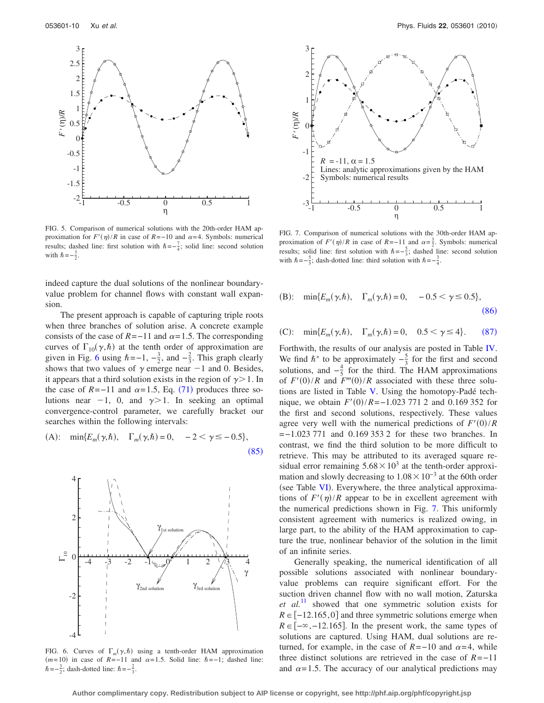<span id="page-9-0"></span>

FIG. 5. Comparison of numerical solutions with the 20th-order HAM approximation for  $F'(\eta)/R$  in case of  $R = -10$  and  $\alpha = 4$ . Symbols: numerical results; dashed line: first solution with  $\hbar = -\frac{7}{4}$ ; solid line: second solution with  $\hbar = -\frac{3}{2}$ .

indeed capture the dual solutions of the nonlinear boundaryvalue problem for channel flows with constant wall expansion.

The present approach is capable of capturing triple roots when three branches of solution arise. A concrete example consists of the case of  $R = -11$  and  $\alpha = 1.5$ . The corresponding curves of  $\Gamma_{10}(\gamma,\hbar)$  at the tenth order of approximation are given in Fig. [6](#page-9-1) using  $\hbar = -1, -\frac{3}{2}$ , and  $-\frac{2}{3}$ . This graph clearly shows that two values of  $\gamma$  emerge near  $-1$  and 0. Besides, it appears that a third solution exists in the region of  $\gamma > 1$ . In the case of  $R = -11$  and  $\alpha = 1.5$ , Eq. ([71](#page-6-10)) produces three solutions near  $-1$ , 0, and  $\gamma > 1$ . In seeking an optimal convergence-control parameter, we carefully bracket our searches within the following intervals:

<span id="page-9-2"></span>(A): 
$$
\min\{E_m(\gamma, \hbar), \Gamma_m(\gamma, \hbar) = 0, -2 < \gamma \le -0.5\},
$$
 (85)

<span id="page-9-1"></span>

FIG. 6. Curves of  $\Gamma_m(\gamma,\hbar)$  using a tenth-order HAM approximation  $(m=10)$  in case of  $R=-11$  and  $\alpha=1.5$ . Solid line:  $\hbar=-1$ ; dashed line:  $\hbar = -\frac{3}{2}$ ; dash-dotted line:  $\hbar = -\frac{2}{3}$ .

<span id="page-9-5"></span>

FIG. 7. Comparison of numerical solutions with the 30th-order HAM approximation of  $F'(\eta)/R$  in case of  $R=-11$  and  $\alpha=\frac{3}{2}$ . Symbols: numerical results; solid line: first solution with  $\hbar = -\frac{5}{3}$ ; dashed line: second solution with  $\hbar = -\frac{5}{3}$ ; dash-dotted line: third solution with  $\hbar = -\frac{3}{4}$ .

<span id="page-9-3"></span>(B): 
$$
\min\{E_m(\gamma,\hbar), \Gamma_m(\gamma,\hbar) = 0, -0.5 < \gamma \le 0.5\},
$$
 (86)

<span id="page-9-4"></span>(C): 
$$
\min\{E_m(\gamma, \hbar), \Gamma_m(\gamma, \hbar) = 0, 0.5 < \gamma \le 4\}.
$$
 (87)

Forthwith, the results of our analysis are posted in Table [IV.](#page-10-0) We find  $\hbar^*$  to be approximately  $-\frac{5}{3}$  for the first and second solutions, and  $-\frac{4}{5}$  for the third. The HAM approximations of  $F'(0)/R$  and  $F'''(0)/R$  associated with these three solutions are listed in Table [V.](#page-10-1) Using the homotopy-Padé technique, we obtain  $F'(0)/R = -1.023\,771\,2$  and 0.169 352 for the first and second solutions, respectively. These values agree very well with the numerical predictions of  $F'(0)/R$ =−1.023 771 and 0.169 353 2 for these two branches. In contrast, we find the third solution to be more difficult to retrieve. This may be attributed to its averaged square residual error remaining  $5.68 \times 10^3$  at the tenth-order approximation and slowly decreasing to  $1.08\times10^{-3}$  at the 60th order (see Table [VI](#page-10-2)). Everywhere, the three analytical approximations of  $F'(\eta)/R$  appear to be in excellent agreement with the numerical predictions shown in Fig. [7.](#page-9-5) This uniformly consistent agreement with numerics is realized owing, in large part, to the ability of the HAM approximation to capture the true, nonlinear behavior of the solution in the limit of an infinite series.

Generally speaking, the numerical identification of all possible solutions associated with nonlinear boundaryvalue problems can require significant effort. For the suction driven channel flow with no wall motion, Zaturska *et al.*[11](#page-16-10) showed that one symmetric solution exists for  $R \in [-12.165, 0]$  and three symmetric solutions emerge when  $R \in [-\infty, -12.165]$ . In the present work, the same types of solutions are captured. Using HAM, dual solutions are returned, for example, in the case of  $R=-10$  and  $\alpha = 4$ , while three distinct solutions are retrieved in the case of *R*=−11 and  $\alpha = 1.5$ . The accuracy of our analytical predictions may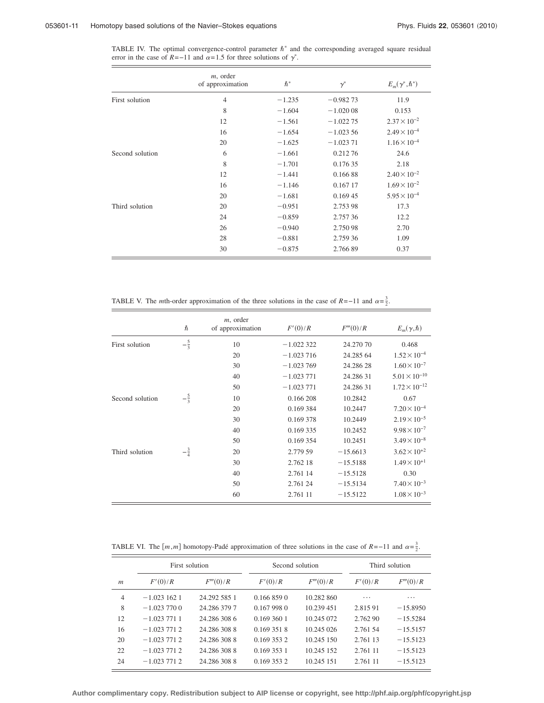<span id="page-10-0"></span>TABLE IV. The optimal convergence-control parameter  $\hbar^*$  and the corresponding averaged square residual error in the case of  $R = -11$  and  $\alpha = 1.5$  for three solutions of  $\gamma^*$ .

|                 | $m$ , order<br>of approximation | $\hbar^*$ | $\gamma^*$ | $E_m(\gamma^*,\hbar^*)$ |
|-----------------|---------------------------------|-----------|------------|-------------------------|
| First solution  | $\overline{4}$                  | $-1.235$  | $-0.98273$ | 11.9                    |
|                 | 8                               | $-1.604$  | $-1.02008$ | 0.153                   |
|                 | 12                              | $-1.561$  | $-1.02275$ | $2.37 \times 10^{-2}$   |
|                 | 16                              | $-1.654$  | $-1.02356$ | $2.49 \times 10^{-4}$   |
|                 | 20                              | $-1.625$  | $-1.02371$ | $1.16 \times 10^{-4}$   |
| Second solution | 6                               | $-1.661$  | 0.21276    | 24.6                    |
|                 | 8                               | $-1.701$  | 0.176 35   | 2.18                    |
|                 | 12                              | $-1.441$  | 0.16688    | $2.40 \times 10^{-2}$   |
|                 | 16                              | $-1.146$  | 0.167 17   | $1.69 \times 10^{-2}$   |
|                 | 20                              | $-1.681$  | 0.169 45   | $5.95 \times 10^{-4}$   |
| Third solution  | 20                              | $-0.951$  | 2.753 98   | 17.3                    |
|                 | 24                              | $-0.859$  | 2.757 36   | 12.2                    |
|                 | 26                              | $-0.940$  | 2.750 98   | 2.70                    |
|                 | 28                              | $-0.881$  | 2.759 36   | 1.09                    |
|                 | 30                              | $-0.875$  | 2.766 89   | 0.37                    |

TABLE V. The *m*th-order approximation of the three solutions in the case of *R*=−11 and  $\alpha = \frac{3}{2}$ .

<span id="page-10-1"></span>

|                 | $\hbar$        | $m$ , order<br>of approximation | F'(0)/R     | F'''(0)/R  | $E_m(\gamma, \hbar)$   |
|-----------------|----------------|---------------------------------|-------------|------------|------------------------|
| First solution  | $-\frac{5}{3}$ | 10                              | $-1.022322$ | 24.270 70  | 0.468                  |
|                 |                | 20                              | $-1.023716$ | 24.285 64  | $1.52 \times 10^{-4}$  |
|                 |                | 30                              | $-1.023769$ | 24.286 28  | $1.60 \times 10^{-7}$  |
|                 |                | 40                              | $-1.023771$ | 24.286 31  | $5.01 \times 10^{-10}$ |
|                 |                | 50                              | $-1.023771$ | 24.286 31  | $1.72 \times 10^{-12}$ |
| Second solution | $-\frac{5}{3}$ | 10                              | 0.166 208   | 10.2842    | 0.67                   |
|                 |                | 20                              | 0.169 384   | 10.2447    | $7.20 \times 10^{-4}$  |
|                 |                | 30                              | 0.169 378   | 10.2449    | $2.19 \times 10^{-5}$  |
|                 |                | 40                              | 0.169 335   | 10.2452    | $9.98 \times 10^{-7}$  |
|                 |                | 50                              | 0.169 354   | 10.2451    | $3.49 \times 10^{-8}$  |
| Third solution  | $-\frac{3}{4}$ | 20                              | 2.779 59    | $-15.6613$ | $3.62 \times 10^{+2}$  |
|                 |                | 30                              | 2.762 18    | $-15.5188$ | $1.49 \times 10^{+1}$  |
|                 |                | 40                              | 2.761 14    | $-15.5128$ | 0.30                   |
|                 |                | 50                              | 2.761 24    | $-15.5134$ | $7.40 \times 10^{-3}$  |
|                 |                | 60                              | 2.761 11    | $-15.5122$ | $1.08 \times 10^{-3}$  |

<span id="page-10-2"></span>TABLE VI. The  $[m, m]$  homotopy-Padé approximation of three solutions in the case of  $R = -11$  and  $\alpha = \frac{3}{2}$ .

|                  | First solution |              | Second solution |            | Third solution |            |
|------------------|----------------|--------------|-----------------|------------|----------------|------------|
| $\boldsymbol{m}$ | F'(0)/R        | F'''(0)/R    | F'(0)/R         | F'''(0)/R  | F'(0)/R        | F'''(0)/R  |
| $\overline{4}$   | $-1.0231621$   | 24.292 585 1 | 0.1668590       | 10.282 860 | .              | .          |
| 8                | $-1.0237700$   | 24.286 379 7 | 0.1679980       | 10.239 451 | 2.815.91       | $-15.8950$ |
| 12               | $-1.0237711$   | 24.286.308.6 | 0.1693601       | 10.245 072 | 2.762 90       | $-15.5284$ |
| 16               | $-1.0237712$   | 24.286.308.8 | 0.169 351 8     | 10.245 026 | 2.761.54       | $-15.5157$ |
| 20               | $-1.0237712$   | 24.286.308.8 | 0.169 353 2     | 10.245 150 | 2.761 13       | $-15.5123$ |
| 22               | $-1.0237712$   | 24.286.308.8 | 0.169 353 1     | 10.245 152 | 2.761 11       | $-15.5123$ |
| 24               | $-1.0237712$   | 24.286.308.8 | 0.169 353 2     | 10.245 151 | 2.761 11       | $-15.5123$ |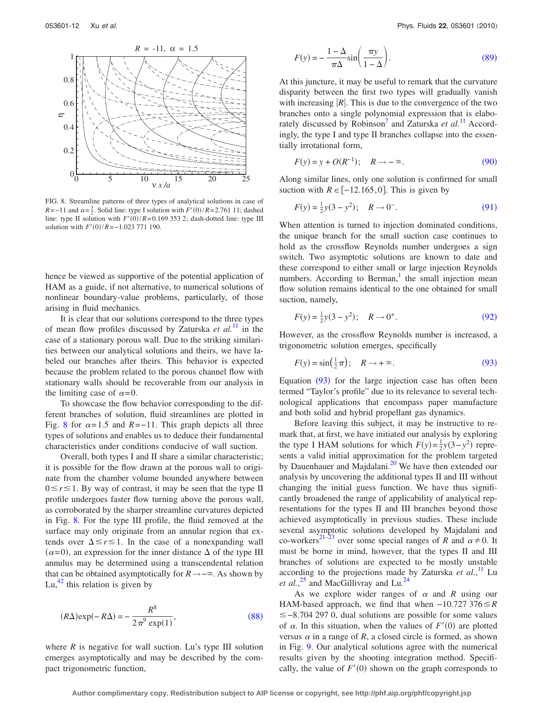<span id="page-11-0"></span>

FIG. 8. Streamline patterns of three types of analytical solutions in case of *R*=−11 and  $\alpha = \frac{3}{2}$ . Solid line: type I solution with *F'*(0)/*R*=2.761 11; dashed line: type II solution with  $F'(0)/R = 0.169$  353 2; dash-dotted line: type III solution with  $F'(0)/R = -1.023$  771 190.

hence be viewed as supportive of the potential application of HAM as a guide, if not alternative, to numerical solutions of nonlinear boundary-value problems, particularly, of those arising in fluid mechanics.

It is clear that our solutions correspond to the three types of mean flow profiles discussed by Zaturska *et al.*[11](#page-16-10) in the case of a stationary porous wall. Due to the striking similarities between our analytical solutions and theirs, we have labeled our branches after theirs. This behavior is expected because the problem related to the porous channel flow with stationary walls should be recoverable from our analysis in the limiting case of  $\alpha = 0$ .

To showcase the flow behavior corresponding to the different branches of solution, fluid streamlines are plotted in Fig. [8](#page-11-0) for  $\alpha = 1.5$  and  $R = -11$ . This graph depicts all three types of solutions and enables us to deduce their fundamental characteristics under conditions conducive of wall suction.

Overall, both types I and II share a similar characteristic; it is possible for the flow drawn at the porous wall to originate from the chamber volume bounded anywhere between  $0 \le r \le 1$ . By way of contrast, it may be seen that the type II profile undergoes faster flow turning above the porous wall, as corroborated by the sharper streamline curvatures depicted in Fig. [8.](#page-11-0) For the type III profile, the fluid removed at the surface may only originate from an annular region that extends over  $\Delta \le r \le 1$ . In the case of a nonexpanding wall  $(\alpha=0)$ , an expression for the inner distance  $\Delta$  of the type III annulus may be determined using a transcendental relation that can be obtained asymptotically for  $R \rightarrow -\infty$ . As shown by Lu, $^{42}$  $^{42}$  $^{42}$  this relation is given by

<span id="page-11-1"></span>
$$
(R\Delta) \exp(-R\Delta) = -\frac{R^8}{2\pi^9 \exp(1)},
$$
\n(88)

where  $R$  is negative for wall suction. Lu's type III solution emerges asymptotically and may be described by the compact trigonometric function,

<span id="page-11-2"></span>
$$
F(y) = -\frac{1-\Delta}{\pi\Delta}\sin\left(\frac{\pi y}{1-\Delta}\right).
$$
 (89)

At this juncture, it may be useful to remark that the curvature disparity between the first two types will gradually vanish with increasing  $|R|$ . This is due to the convergence of the two branches onto a single polynomial expression that is elabo-rately discussed by Robinson<sup>7</sup> and Zaturska et al.<sup>[11](#page-16-10)</sup> Accordingly, the type I and type II branches collapse into the essentially irrotational form,

<span id="page-11-3"></span>
$$
F(y) = y + O(R^{-1}); \quad R \to -\infty.
$$
 (90)

Along similar lines, only one solution is confirmed for small suction with  $R \∈ [−12.165, 0]$ . This is given by

<span id="page-11-4"></span>
$$
F(y) = \frac{1}{2}y(3 - y^2); \quad R \to 0^-.
$$
 (91)

When attention is turned to injection dominated conditions, the unique branch for the small suction case continues to hold as the crossflow Reynolds number undergoes a sign switch. Two asymptotic solutions are known to date and these correspond to either small or large injection Reynolds numbers. According to Berman, $\frac{1}{x}$  the small injection mean flow solution remains identical to the one obtained for small suction, namely,

<span id="page-11-5"></span>
$$
F(y) = \frac{1}{2}y(3 - y^2); \quad R \to 0^+.
$$
 (92)

However, as the crossflow Reynolds number is increased, a trigonometric solution emerges, specifically

<span id="page-11-6"></span>
$$
F(y) = \sin(\frac{1}{2}\pi); \quad R \to +\infty.
$$
 (93)

Equation  $(93)$  $(93)$  $(93)$  for the large injection case has often been termed "Taylor's profile" due to its relevance to several technological applications that encompass paper manufacture and both solid and hybrid propellant gas dynamics.

Before leaving this subject, it may be instructive to remark that, at first, we have initiated our analysis by exploring the type I HAM solutions for which  $F(y) = \frac{1}{2}y(3-y^2)$  represents a valid initial approximation for the problem targeted by Dauenhauer and Majdalani.<sup>20</sup> We have then extended our analysis by uncovering the additional types II and III without changing the initial guess function. We have thus significantly broadened the range of applicability of analytical representations for the types II and III branches beyond those achieved asymptotically in previous studies. These include several asymptotic solutions developed by Majdalani and co-workers<sup>21[–23](#page-16-22)</sup> over some special ranges of *R* and  $\alpha \neq 0$ . It must be borne in mind, however, that the types II and III branches of solutions are expected to be mostly unstable according to the projections made by Zaturska *et al.*, [11](#page-16-10) Lu *et al.*,<sup>[25](#page-16-24)</sup> and MacGillivray and Lu.<sup>24</sup>

As we explore wider ranges of  $\alpha$  and  $R$  using our HAM-based approach, we find that when −10.727 376*R* −8.704 297 0, dual solutions are possible for some values of  $\alpha$ . In this situation, when the values of  $F'(0)$  are plotted versus  $\alpha$  in a range of *R*, a closed circle is formed, as shown in Fig. [9.](#page-12-0) Our analytical solutions agree with the numerical results given by the shooting integration method. Specifically, the value of  $F'(0)$  shown on the graph corresponds to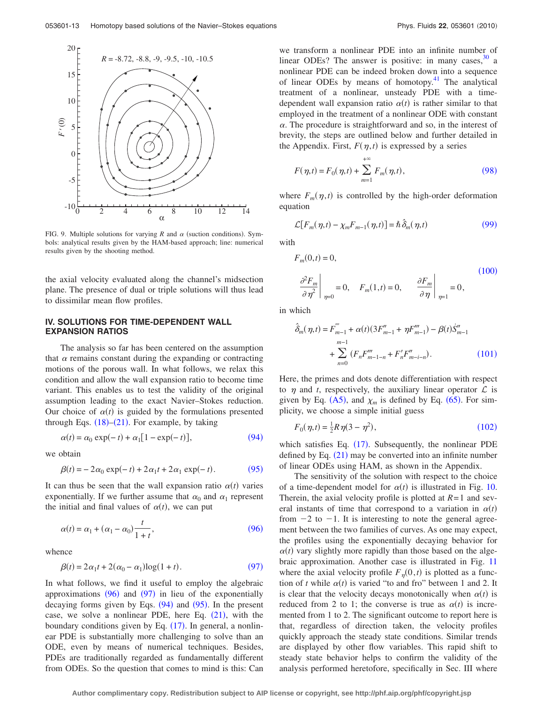<span id="page-12-0"></span>

FIG. 9. Multiple solutions for varying  $R$  and  $\alpha$  (suction conditions). Symbols: analytical results given by the HAM-based approach; line: numerical results given by the shooting method.

the axial velocity evaluated along the channel's midsection plane. The presence of dual or triple solutions will thus lead to dissimilar mean flow profiles.

# **IV. SOLUTIONS FOR TIME-DEPENDENT WALL EXPANSION RATIOS**

The analysis so far has been centered on the assumption that  $\alpha$  remains constant during the expanding or contracting motions of the porous wall. In what follows, we relax this condition and allow the wall expansion ratio to become time variant. This enables us to test the validity of the original assumption leading to the exact Navier–Stokes reduction. Our choice of  $\alpha(t)$  is guided by the formulations presented through Eqs.  $(18)$  $(18)$  $(18)$ – $(21)$  $(21)$  $(21)$ . For example, by taking

<span id="page-12-1"></span>
$$
\alpha(t) = \alpha_0 \exp(-t) + \alpha_1 [1 - \exp(-t)],\tag{94}
$$

<span id="page-12-2"></span>we obtain

$$
\beta(t) = -2\alpha_0 \exp(-t) + 2\alpha_1 t + 2\alpha_1 \exp(-t). \tag{95}
$$

It can thus be seen that the wall expansion ratio  $\alpha(t)$  varies exponentially. If we further assume that  $\alpha_0$  and  $\alpha_1$  represent the initial and final values of  $\alpha(t)$ , we can put

<span id="page-12-3"></span>
$$
\alpha(t) = \alpha_1 + (\alpha_1 - \alpha_0) \frac{t}{1+t},\tag{96}
$$

<span id="page-12-4"></span>whence

$$
\beta(t) = 2\alpha_1 t + 2(\alpha_0 - \alpha_1) \log(1 + t). \tag{97}
$$

In what follows, we find it useful to employ the algebraic approximations  $(96)$  $(96)$  $(96)$  and  $(97)$  $(97)$  $(97)$  in lieu of the exponentially decaying forms given by Eqs.  $(94)$  $(94)$  $(94)$  and  $(95)$  $(95)$  $(95)$ . In the present case, we solve a nonlinear PDE, here Eq.  $(21)$  $(21)$  $(21)$ , with the boundary conditions given by Eq. ([17](#page-2-16)). In general, a nonlinear PDE is substantially more challenging to solve than an ODE, even by means of numerical techniques. Besides, PDEs are traditionally regarded as fundamentally different from ODEs. So the question that comes to mind is this: Can we transform a nonlinear PDE into an infinite number of linear ODEs? The answer is positive: in many cases,  $30<sup>30</sup>$  a nonlinear PDE can be indeed broken down into a sequence of linear ODEs by means of homotopy. $41$  The analytical treatment of a nonlinear, unsteady PDE with a timedependent wall expansion ratio  $\alpha(t)$  is rather similar to that employed in the treatment of a nonlinear ODE with constant  $\alpha$ . The procedure is straightforward and so, in the interest of brevity, the steps are outlined below and further detailed in the Appendix. First,  $F(\eta, t)$  is expressed by a series

<span id="page-12-5"></span>
$$
F(\eta, t) = F_0(\eta, t) + \sum_{m=1}^{+\infty} F_m(\eta, t),
$$
\n(98)

where  $F_m(\eta, t)$  is controlled by the high-order deformation equation

<span id="page-12-6"></span>
$$
\mathcal{L}[F_m(\eta, t) - \chi_m F_{m-1}(\eta, t)] = \hbar \,\hat{\delta}_m(\eta, t) \tag{99}
$$

<span id="page-12-7"></span>with

$$
F_m(0,t) = 0,
$$
  
\n
$$
\frac{\partial^2 F_m}{\partial \eta^2} \bigg|_{\eta=0} = 0, \quad F_m(1,t) = 0, \qquad \frac{\partial F_m}{\partial \eta} \bigg|_{\eta=1} = 0,
$$
\n(100)

<span id="page-12-8"></span>in which

$$
\hat{\delta}_m(\eta, t) = F_{m-1}^{\prime\prime\prime} + \alpha(t)(3F_{m-1}^{\prime\prime} + \eta F_{m-1}^{\prime\prime\prime}) - \beta(t)\dot{S}_{m-1}^{\prime\prime} + \sum_{n=0}^{m-1} (F_n F_{m-1-n}^{\prime\prime\prime} + F_n^{\prime} F_{m-i-n}^{\prime\prime}).
$$
\n(101)

Here, the primes and dots denote differentiation with respect to  $\eta$  and *t*, respectively, the auxiliary linear operator  $\mathcal L$  is given by Eq.  $(A5)$  $(A5)$  $(A5)$ , and  $\chi_m$  is defined by Eq.  $(65)$  $(65)$  $(65)$ . For simplicity, we choose a simple initial guess

$$
F_0(\eta, t) = \frac{1}{2} R \eta(3 - \eta^2), \qquad (102)
$$

<span id="page-12-9"></span>which satisfies Eq. ([17](#page-2-16)). Subsequently, the nonlinear PDE defined by Eq.  $(21)$  $(21)$  $(21)$  may be converted into an infinite number of linear ODEs using HAM, as shown in the Appendix.

The sensitivity of the solution with respect to the choice of a time-dependent model for  $\alpha(t)$  is illustrated in Fig. [10.](#page-13-0) Therein, the axial velocity profile is plotted at  $R=1$  and several instants of time that correspond to a variation in  $\alpha(t)$ from  $-2$  to  $-1$ . It is interesting to note the general agreement between the two families of curves. As one may expect, the profiles using the exponentially decaying behavior for  $\alpha(t)$  vary slightly more rapidly than those based on the algebraic approximation. Another case is illustrated in Fig. [11](#page-13-1) where the axial velocity profile  $F_{\eta}(0,t)$  is plotted as a function of *t* while  $\alpha(t)$  is varied "to and fro" between 1 and 2. It is clear that the velocity decays monotonically when  $\alpha(t)$  is reduced from 2 to 1; the converse is true as  $\alpha(t)$  is incremented from 1 to 2. The significant outcome to report here is that, regardless of direction taken, the velocity profiles quickly approach the steady state conditions. Similar trends are displayed by other flow variables. This rapid shift to steady state behavior helps to confirm the validity of the analysis performed heretofore, specifically in Sec. III where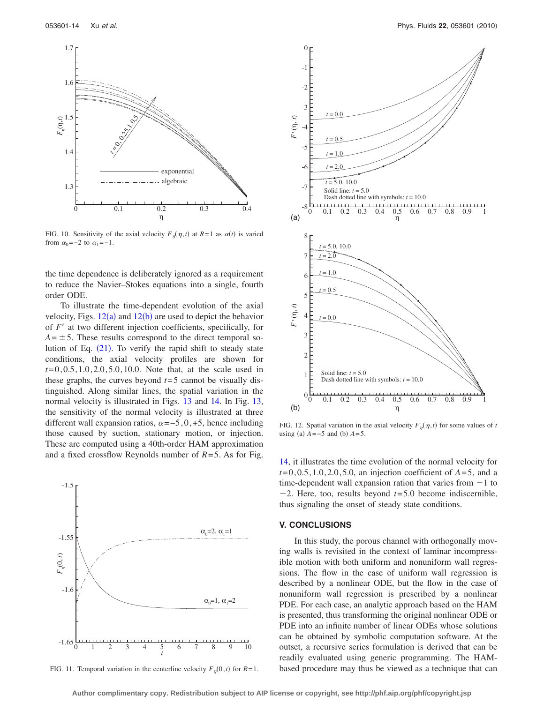<span id="page-13-0"></span>

FIG. 10. Sensitivity of the axial velocity  $F_{\eta}(\eta, t)$  at  $R=1$  as  $\alpha(t)$  is varied from  $\alpha_0 = -2$  to  $\alpha_1 = -1$ .

the time dependence is deliberately ignored as a requirement to reduce the Navier–Stokes equations into a single, fourth order ODE.

To illustrate the time-dependent evolution of the axial velocity, Figs.  $12(a)$  $12(a)$  and  $12(b)$  are used to depict the behavior of *F'* at two different injection coefficients, specifically, for  $A = \pm 5$ . These results correspond to the direct temporal so-lution of Eq. ([21](#page-3-0)). To verify the rapid shift to steady state conditions, the axial velocity profiles are shown for *t*= 0, 0.5, 1.0, 2.0, 5.0, 10.0. Note that, at the scale used in these graphs, the curves beyond  $t=5$  cannot be visually distinguished. Along similar lines, the spatial variation in the normal velocity is illustrated in Figs. [13](#page-14-0) and [14.](#page-14-1) In Fig. [13,](#page-14-0) the sensitivity of the normal velocity is illustrated at three different wall expansion ratios,  $\alpha = -5, 0, +5$ , hence including those caused by suction, stationary motion, or injection. These are computed using a 40th-order HAM approximation and a fixed crossflow Reynolds number of  $R=5$ . As for Fig. [14,](#page-14-1) it illustrates the time evolution of the normal velocity for

<span id="page-13-1"></span>

FIG. 11. Temporal variation in the centerline velocity  $F_{\eta}(0, t)$  for  $R=1$ .

<span id="page-13-2"></span>

FIG. 12. Spatial variation in the axial velocity  $F_{\eta}(\eta, t)$  for some values of *t* using (a)  $A = -5$  and (b)  $A = 5$ .

 $t = 0, 0.5, 1.0, 2.0, 5.0$ , an injection coefficient of  $A = 5$ , and a time-dependent wall expansion ration that varies from  $-1$  to  $-2$ . Here, too, results beyond  $t=5.0$  become indiscernible, thus signaling the onset of steady state conditions.

# **V. CONCLUSIONS**

In this study, the porous channel with orthogonally moving walls is revisited in the context of laminar incompressible motion with both uniform and nonuniform wall regressions. The flow in the case of uniform wall regression is described by a nonlinear ODE, but the flow in the case of nonuniform wall regression is prescribed by a nonlinear PDE. For each case, an analytic approach based on the HAM is presented, thus transforming the original nonlinear ODE or PDE into an infinite number of linear ODEs whose solutions can be obtained by symbolic computation software. At the outset, a recursive series formulation is derived that can be readily evaluated using generic programming. The HAMbased procedure may thus be viewed as a technique that can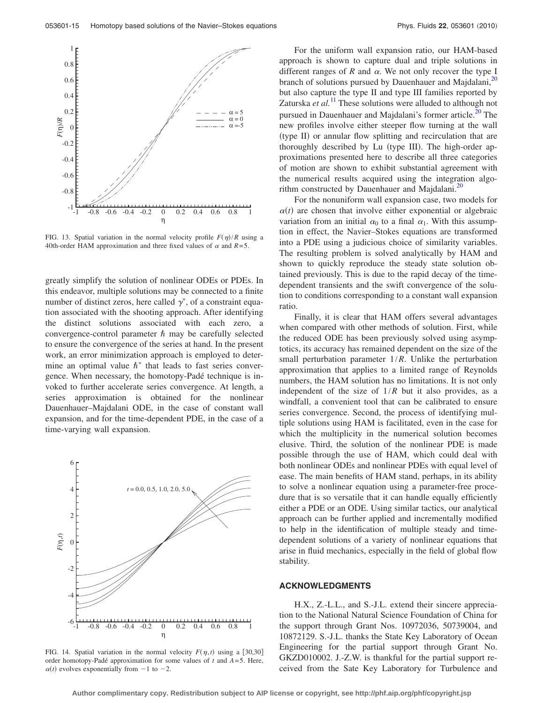<span id="page-14-0"></span>

FIG. 13. Spatial variation in the normal velocity profile  $F(\eta)/R$  using a 40th-order HAM approximation and three fixed values of  $\alpha$  and  $R=5$ .

greatly simplify the solution of nonlinear ODEs or PDEs. In this endeavor, multiple solutions may be connected to a finite number of distinct zeros, here called  $\gamma^*$ , of a constraint equation associated with the shooting approach. After identifying the distinct solutions associated with each zero, a convergence-control parameter  $\hbar$  may be carefully selected to ensure the convergence of the series at hand. In the present work, an error minimization approach is employed to determine an optimal value  $\hbar^*$  that leads to fast series convergence. When necessary, the homotopy-Padé technique is invoked to further accelerate series convergence. At length, a series approximation is obtained for the nonlinear Dauenhauer–Majdalani ODE, in the case of constant wall expansion, and for the time-dependent PDE, in the case of a time-varying wall expansion.

<span id="page-14-1"></span>

FIG. 14. Spatial variation in the normal velocity  $F(\eta, t)$  using a [30,30] order homotopy-Padé approximation for some values of  $t$  and  $A = 5$ . Here,  $\alpha(t)$  evolves exponentially from  $-1$  to  $-2$ .

For the uniform wall expansion ratio, our HAM-based approach is shown to capture dual and triple solutions in different ranges of  $R$  and  $\alpha$ . We not only recover the type I branch of solutions pursued by Dauenhauer and Majdalani,<sup>20</sup> but also capture the type II and type III families reported by Zaturska *et al.*<sup>[11](#page-16-10)</sup> These solutions were alluded to although not pursued in Dauenhauer and Majdalani's former article.<sup>20</sup> The new profiles involve either steeper flow turning at the wall (type II) or annular flow splitting and recirculation that are thoroughly described by Lu (type III). The high-order approximations presented here to describe all three categories of motion are shown to exhibit substantial agreement with the numerical results acquired using the integration algorithm constructed by Dauenhauer and Majdalani. $^{20}$ 

For the nonuniform wall expansion case, two models for  $\alpha(t)$  are chosen that involve either exponential or algebraic variation from an initial  $\alpha_0$  to a final  $\alpha_1$ . With this assumption in effect, the Navier–Stokes equations are transformed into a PDE using a judicious choice of similarity variables. The resulting problem is solved analytically by HAM and shown to quickly reproduce the steady state solution obtained previously. This is due to the rapid decay of the timedependent transients and the swift convergence of the solution to conditions corresponding to a constant wall expansion ratio.

Finally, it is clear that HAM offers several advantages when compared with other methods of solution. First, while the reduced ODE has been previously solved using asymptotics, its accuracy has remained dependent on the size of the small perturbation parameter 1/*R*. Unlike the perturbation approximation that applies to a limited range of Reynolds numbers, the HAM solution has no limitations. It is not only independent of the size of  $1/R$  but it also provides, as a windfall, a convenient tool that can be calibrated to ensure series convergence. Second, the process of identifying multiple solutions using HAM is facilitated, even in the case for which the multiplicity in the numerical solution becomes elusive. Third, the solution of the nonlinear PDE is made possible through the use of HAM, which could deal with both nonlinear ODEs and nonlinear PDEs with equal level of ease. The main benefits of HAM stand, perhaps, in its ability to solve a nonlinear equation using a parameter-free procedure that is so versatile that it can handle equally efficiently either a PDE or an ODE. Using similar tactics, our analytical approach can be further applied and incrementally modified to help in the identification of multiple steady and timedependent solutions of a variety of nonlinear equations that arise in fluid mechanics, especially in the field of global flow stability.

#### **ACKNOWLEDGMENTS**

H.X., Z.-L.L., and S.-J.L. extend their sincere appreciation to the National Natural Science Foundation of China for the support through Grant Nos. 10972036, 50739004, and 10872129. S.-J.L. thanks the State Key Laboratory of Ocean Engineering for the partial support through Grant No. GKZD010002. J.-Z.W. is thankful for the partial support received from the Sate Key Laboratory for Turbulence and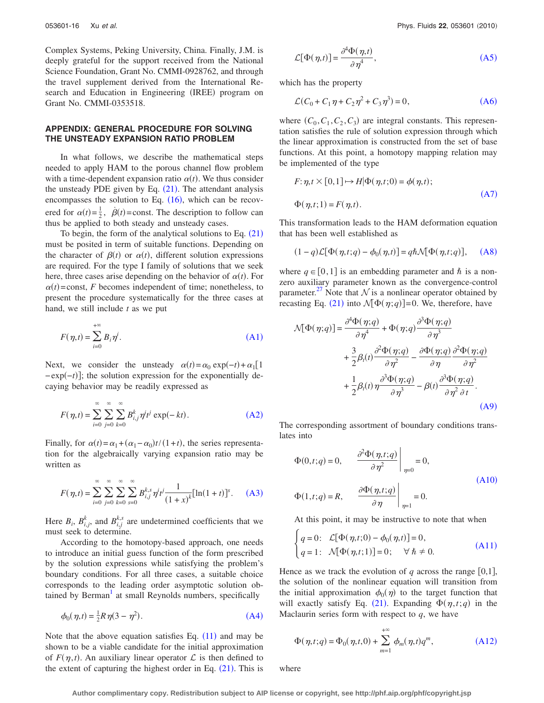Complex Systems, Peking University, China. Finally, J.M. is deeply grateful for the support received from the National Science Foundation, Grant No. CMMI-0928762, and through the travel supplement derived from the International Research and Education in Engineering (IREE) program on Grant No. CMMI-0353518.

# **APPENDIX: GENERAL PROCEDURE FOR SOLVING THE UNSTEADY EXPANSION RATIO PROBLEM**

In what follows, we describe the mathematical steps needed to apply HAM to the porous channel flow problem with a time-dependent expansion ratio  $\alpha(t)$ . We thus consider the unsteady PDE given by Eq.  $(21)$  $(21)$  $(21)$ . The attendant analysis encompasses the solution to Eq.  $(16)$  $(16)$  $(16)$ , which can be recovered for  $\alpha(t) = \frac{1}{2}$ ,  $\dot{\beta}(t) = \text{const.}$  The description to follow can thus be applied to both steady and unsteady cases.

To begin, the form of the analytical solutions to Eq.  $(21)$  $(21)$  $(21)$ must be posited in term of suitable functions. Depending on the character of  $\beta(t)$  or  $\alpha(t)$ , different solution expressions are required. For the type I family of solutions that we seek here, three cases arise depending on the behavior of  $\alpha(t)$ . For  $\alpha(t)$  = const, *F* becomes independent of time; nonetheless, to present the procedure systematically for the three cases at hand, we still include *t* as we put

<span id="page-15-1"></span>
$$
F(\eta, t) = \sum_{i=0}^{+\infty} B_i \eta^i.
$$
 (A1)

Next, we consider the unsteady  $\alpha(t) = \alpha_0 \exp(-t) + \alpha_1 [1]$ −exp(-*t*)]; the solution expression for the exponentially decaying behavior may be readily expressed as

<span id="page-15-2"></span>
$$
F(\eta, t) = \sum_{i=0}^{\infty} \sum_{j=0}^{\infty} \sum_{k=0}^{\infty} B_{i,j}^{k} \eta^{j} t^{j} \exp(-kt).
$$
 (A2)

Finally, for  $\alpha(t) = \alpha_1 + (\alpha_1 - \alpha_0)t/(1+t)$ , the series representation for the algebraically varying expansion ratio may be written as

<span id="page-15-3"></span>
$$
F(\eta, t) = \sum_{i=0}^{\infty} \sum_{j=0}^{\infty} \sum_{k=0}^{\infty} \sum_{s=0}^{\infty} B_{i,j}^{k,s} \eta^{j} t^{j} \frac{1}{(1+x)^{k}} [\ln(1+t)]^{s}.
$$
 (A3)

Here  $B_i$ ,  $B_{i,j}^k$ , and  $B_{i,j}^{k,s}$  are undetermined coefficients that we must seek to determine.

According to the homotopy-based approach, one needs to introduce an initial guess function of the form prescribed by the solution expressions while satisfying the problem's boundary conditions. For all three cases, a suitable choice corresponds to the leading order asymptotic solution obtained by Berman<sup>1</sup> at small Reynolds numbers, specifically

<span id="page-15-4"></span>
$$
\phi_0(\eta, t) = \frac{1}{2} R \eta(3 - \eta^2).
$$
 (A4)

Note that the above equation satisfies Eq.  $(11)$  $(11)$  $(11)$  and may be shown to be a viable candidate for the initial approximation of  $F(\eta, t)$ . An auxiliary linear operator  $\mathcal L$  is then defined to the extent of capturing the highest order in Eq.  $(21)$  $(21)$  $(21)$ . This is

<span id="page-15-0"></span>
$$
\mathcal{L}[\Phi(\eta, t)] = \frac{\partial^4 \Phi(\eta, t)}{\partial \eta^4},
$$
\n(A5)

<span id="page-15-5"></span>which has the property

$$
\mathcal{L}(C_0 + C_1 \eta + C_2 \eta^2 + C_3 \eta^3) = 0,
$$
 (A6)

where  $(C_0, C_1, C_2, C_3)$  are integral constants. This representation satisfies the rule of solution expression through which the linear approximation is constructed from the set of base functions. At this point, a homotopy mapping relation may be implemented of the type

<span id="page-15-6"></span>
$$
F: \eta, t \times [0,1] \mapsto H | \Phi(\eta, t; 0) = \phi(\eta, t);
$$
  
 
$$
\Phi(\eta, t; 1) = F(\eta, t).
$$
 (A7)

This transformation leads to the HAM deformation equation that has been well established as

<span id="page-15-7"></span>
$$
(1-q)\mathcal{L}[\Phi(\eta,t;q) - \phi_0(\eta,t)] = q\hbar \mathcal{N}[\Phi(\eta,t;q)], \quad (A8)
$$

where  $q \in [0,1]$  is an embedding parameter and  $\hbar$  is a nonzero auxiliary parameter known as the convergence-control parameter.<sup>27</sup> Note that  $\mathcal N$  is a nonlinear operator obtained by recasting Eq. ([21](#page-3-0)) into  $\mathcal{N}[\Phi(\eta; q)] = 0$ . We, therefore, have

<span id="page-15-8"></span>
$$
\mathcal{M}[\Phi(\eta;q)] = \frac{\partial^4 \Phi(\eta;q)}{\partial \eta^4} + \Phi(\eta;q) \frac{\partial^3 \Phi(\eta;q)}{\partial \eta^3} + \frac{3}{2} \beta_i(t) \frac{\partial^2 \Phi(\eta;q)}{\partial \eta^2} - \frac{\partial \Phi(\eta;q)}{\partial \eta} \frac{\partial^2 \Phi(\eta;q)}{\partial \eta^2} + \frac{1}{2} \beta_i(t) \eta \frac{\partial^3 \Phi(\eta;q)}{\partial \eta^3} - \beta(t) \frac{\partial^3 \Phi(\eta;q)}{\partial \eta^2 \partial t}.
$$
\n(A9)

The corresponding assortment of boundary conditions translates into

<span id="page-15-9"></span>
$$
\Phi(0, t; q) = 0, \qquad \frac{\partial^2 \Phi(\eta, t; q)}{\partial \eta^2} \bigg|_{\eta = 0} = 0,
$$
\n(A10)\n
$$
\Phi(1, t; q) = R, \qquad \frac{\partial \Phi(\eta, t; q)}{\partial \eta} \bigg|_{\eta = 1} = 0.
$$

At this point, it may be instructive to note that when

<span id="page-15-10"></span>
$$
\begin{cases}\n q = 0: & \mathcal{L}[\Phi(\eta, t; 0) - \phi_0(\eta, t)] = 0, \\
 q = 1: & \mathcal{N}[\Phi(\eta, t; 1)] = 0; \quad \forall \ \hbar \neq 0.\n\end{cases}
$$
\n(A11)

Hence as we track the evolution of  $q$  across the range  $[0,1]$ , the solution of the nonlinear equation will transition from the initial approximation  $\phi_0(\eta)$  to the target function that will exactly satisfy Eq. ([21](#page-3-0)). Expanding  $\Phi(\eta, t; q)$  in the Maclaurin series form with respect to  $q$ , we have

<span id="page-15-11"></span>
$$
\Phi(\eta, t; q) = \Phi_0(\eta, t, 0) + \sum_{m=1}^{+\infty} \phi_m(\eta, t) q^m,
$$
\n(A12)

where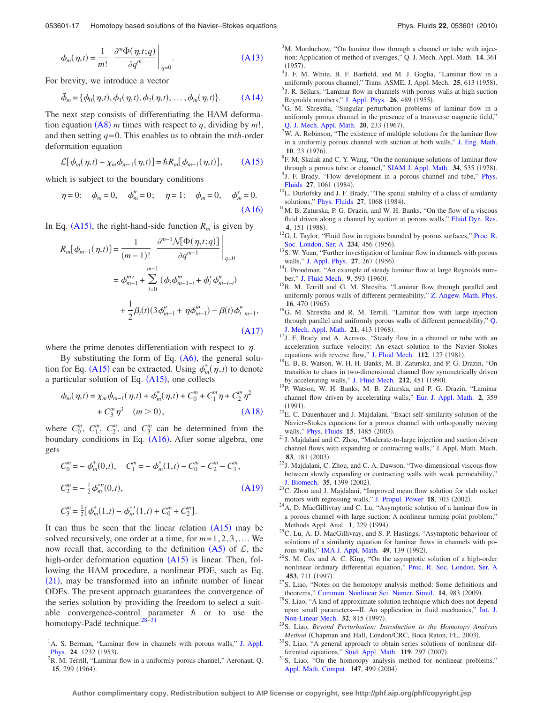<span id="page-16-29"></span>
$$
\phi_m(\eta, t) = \frac{1}{m!} \left. \frac{\partial^m \Phi(\eta, t; q)}{\partial q^m} \right|_{q=0}.
$$
\n(A13)

<span id="page-16-32"></span>For brevity, we introduce a vector

$$
\vec{\phi}_m = {\phi_0(\eta, t), \phi_1(\eta, t), \phi_2(\eta, t), ..., \phi_m(\eta, t)}.
$$
 (A14)

The next step consists of differentiating the HAM deformation equation  $(A8)$  $(A8)$  $(A8)$  *m* times with respect to *q*, dividing by *m*!, and then setting *q*= 0. This enables us to obtain the m*th*-order deformation equation

$$
\mathcal{L}[\phi_m(\eta,t) - \chi_m \phi_{m-1}(\eta,t)] = \hbar R_m[\phi_{m-1}(\eta,t)], \qquad (A15)
$$

<span id="page-16-34"></span><span id="page-16-33"></span>which is subject to the boundary conditions

$$
\eta = 0;
$$
\n $\phi_m = 0,$ \n $\phi_m'' = 0;$ \n $\eta = 1;$ \n $\phi_m = 0,$ \n $\phi_m' = 0.$ \n(A16)

<span id="page-16-35"></span>In Eq. ([A15](#page-16-33)), the right-hand-side function  $R_m$  is given by

$$
R_m[\phi_{m-1}(\eta, t)] = \frac{1}{(m-1)!} \left. \frac{\partial^{m-1} \mathcal{N}[\Phi(\eta, t; q)]}{\partial q^{m-1}} \right|_{q=0}
$$
  

$$
= \phi_{m-1}^{m\prime} + \sum_{i=0}^{m-1} (\phi_i \phi_{m-1-i}^{m} + \phi_i' \phi_{m-i-i}')
$$

$$
+ \frac{1}{2} \beta_i(t) (3 \phi_{m-1}^{\prime\prime} + \eta \phi_{m-1}^{\prime\prime}) - \beta(t) \phi_{t-m-1}^{\prime\prime},
$$
(A17)

where the prime denotes differentiation with respect to  $\eta$ .

By substituting the form of Eq.  $(A6)$  $(A6)$  $(A6)$ , the general solu-tion for Eq. ([A15](#page-16-33)) can be extracted. Using  $\phi_m^*(\eta, t)$  to denote a particular solution of Eq. ([A15](#page-16-33)), one collects

<span id="page-16-36"></span>
$$
\phi_m(\eta, t) = \chi_m \phi_{m-1}(\eta, t) + \phi_m^*(\eta, t) + C_0^m + C_1^m \eta + C_2^m \eta^2
$$
  
+  $C_3^m \eta^3$  (*m* > 0), (A18)

where  $C_0^m$ ,  $C_1^m$ ,  $C_2^m$ , and  $C_3^m$  can be determined from the boundary conditions in Eq. ([A16](#page-16-34)). After some algebra, one gets

<span id="page-16-37"></span>
$$
C_0^m = -\phi_m^*(0, t), \quad C_1^m = -\phi_m^*(1, t) - C_0^m - C_2^m - C_3^m,
$$
  
\n
$$
C_2^m = -\frac{1}{2}\phi_m^{*m}(0, t),
$$
  
\n
$$
C_3^m = \frac{1}{2}[\phi_m^*(1, t) - \phi_m^{*'}(1, t) + C_0^m + C_2^m].
$$
\n(A19)

It can thus be seen that the linear relation  $(A15)$  $(A15)$  $(A15)$  may be solved recursively, one order at a time, for *m*= 1, 2, 3,.... We now recall that, according to the definition  $(A5)$  $(A5)$  $(A5)$  of  $L$ , the high-order deformation equation ([A15](#page-16-33)) is linear. Then, following the HAM procedure, a nonlinear PDE, such as Eq.  $(21)$  $(21)$  $(21)$ , may be transformed into an infinite number of linear ODEs. The present approach guarantees the convergence of the series solution by providing the freedom to select a suitable convergence-control parameter  $\hbar$  or to use the homotopy-Padé technique.<sup>28-[31](#page-16-27)</sup>

<span id="page-16-1"></span>R. M. Terrill, "Laminar flow in a uniformly porous channel," Aeronaut. Q. 15, 299 (1964).

<span id="page-16-2"></span><sup>3</sup>M. Morduchow, "On laminar flow through a channel or tube with injection: Application of method of averages," Q. J. Mech. Appl. Math. **14**, 361  $(1957)$ .

- <span id="page-16-3"></span>. <sup>4</sup> J. F. M. White, B. F. Barfield, and M. J. Goglia, "Laminar flow in a uniformly porous channel," Trans. ASME, J. Appl. Mech.  $25, 613$  (1958).  $<sup>5</sup>$  J. R. Sellars, "Laminar flow in channels with porous walls at high suction</sup>
- <span id="page-16-5"></span><span id="page-16-4"></span>Reynolds numbers," [J. Appl. Phys.](http://dx.doi.org/10.1063/1.1722024) 26, 489 (1955). <sup>6</sup>G. M. Shrestha, "Singular perturbation problems of laminar flow in a uniformly porous channel in the presence of a transverse magnetic field," [Q. J. Mech. Appl. Math.](http://dx.doi.org/10.1093/qjmam/20.2.233) **20**, 233 (1967).
- <span id="page-16-6"></span> $7W$ . A. Robinson, "The existence of multiple solutions for the laminar flow in a uniformly porous channel with suction at both walls," [J. Eng. Math.](http://dx.doi.org/10.1007/BF01535424) **10**, 23 (1976).
- <span id="page-16-8"></span><span id="page-16-7"></span> ${}^{8}$ F. M. Skalak and C. Y. Wang, "On the nonunique solutions of laminar flow through a porous tube or channel,"  $SIAM J$ . Appl. Math. **34**, 535 (1978). <sup>9</sup>J. F. Brady, "Flow development in a porous channel and tube," [Phys.](http://dx.doi.org/10.1063/1.864735) [Fluids](http://dx.doi.org/10.1063/1.864735) 27, 1061 (1984).
- <span id="page-16-9"></span><sup>10</sup>L. Durlofsky and J. F. Brady, "The spatial stability of a class of similarity solutions," [Phys. Fluids](http://dx.doi.org/10.1063/1.864736) 27, 1068 (1984).
- <span id="page-16-10"></span> $11$ M. B. Zaturska, P. G. Drazin, and W. H. Banks, "On the flow of a viscous fluid driven along a channel by suction at porous walls," [Fluid Dyn. Res.](http://dx.doi.org/10.1016/0169-5983(88)90021-4) **4**, 151 (1988).
- <span id="page-16-11"></span> $12$ G. I. Taylor, "Fluid flow in regions bounded by porous surfaces," [Proc. R.](http://dx.doi.org/10.1098/rspa.1956.0050) [Soc. London, Ser. A](http://dx.doi.org/10.1098/rspa.1956.0050) 234, 456 (1956).
- <span id="page-16-12"></span><sup>13</sup>S. W. Yuan, "Further investigation of laminar flow in channels with porous walls," [J. Appl. Phys.](http://dx.doi.org/10.1063/1.1722355) 27, 267 (1956).
- <span id="page-16-13"></span><sup>14</sup>I. Proudman, "An example of steady laminar flow at large Reynolds num-ber," [J. Fluid Mech.](http://dx.doi.org/10.1017/S002211206000133X) 9, 593 (1960).
- <span id="page-16-14"></span><sup>15</sup>R. M. Terrill and G. M. Shrestha, "Laminar flow through parallel and uniformly porous walls of different permeability," [Z. Angew. Math. Phys.](http://dx.doi.org/10.1007/BF01593923) **16**, 470 (1965).
- <span id="page-16-15"></span><sup>16</sup>G. M. Shrestha and R. M. Terrill, "Laminar flow with large injection through parallel and uniformly porous walls of different permeability," [Q.](http://dx.doi.org/10.1093/qjmam/21.4.413) [J. Mech. Appl. Math.](http://dx.doi.org/10.1093/qjmam/21.4.413) 21, 413 (1968).
- <span id="page-16-16"></span><sup>17</sup>J. F. Brady and A. Acrivos, "Steady flow in a channel or tube with an acceleration surface velocity: An exact solution to the Navier–Stokes equations with reverse flow," [J. Fluid Mech.](http://dx.doi.org/10.1017/S0022112081000323) 112, 127 (1981).
- <span id="page-16-17"></span>18E. B. B. Watson, W. H. H. Banks, M. B. Zaturska, and P. G. Drazin, "On transition to chaos in two-dimensional channel flow symmetrically driven by accelerating walls," [J. Fluid Mech.](http://dx.doi.org/10.1017/S0022112090002051) 212, 451 (1990).
- <span id="page-16-18"></span><sup>19</sup>P. Watson, W. H. Banks, M. B. Zaturska, and P. G. Drazin, "Laminar channel flow driven by accelerating walls," [Eur. J. Appl. Math.](http://dx.doi.org/10.1017/S0956792500000607) **2**, 359  $(1991)$ .
- <span id="page-16-19"></span> $20E$ . C. Dauenhauer and J. Majdalani, "Exact self-similarity solution of the Navier–Stokes equations for a porous channel with orthogonally moving walls," [Phys. Fluids](http://dx.doi.org/10.1063/1.1567719) 15, 1485 (2003).
- <span id="page-16-20"></span><sup>21</sup>J. Majdalani and C. Zhou, "Moderate-to-large injection and suction driven channel flows with expanding or contracting walls," J. Appl. Math. Mech. **83**, 181 (2003).
- <span id="page-16-21"></span> $^{22}$ J. Majdalani, C. Zhou, and C. A. Dawson, "Two-dimensional viscous flow between slowly expanding or contracting walls with weak permeability," [J. Biomech.](http://dx.doi.org/10.1016/S0021-9290(02)00186-0) 35, 1399 (2002).
- <span id="page-16-22"></span> $^{23}$ C. Zhou and J. Majdalani, "Improved mean flow solution for slab rocket motors with regressing walls," [J. Propul. Power](http://dx.doi.org/10.2514/2.5987) 18, 703 (2002).
- <span id="page-16-23"></span><sup>24</sup>A. D. MacGillivray and C. Lu, "Asymptotic solution of a laminar flow in a porous channel with large suction: A nonlinear turning point problem," Methods Appl. Anal. **1**, 229 (1994).
- <span id="page-16-24"></span> $25$ C. Lu, A. D. MacGillivray, and S. P. Hastings, "Asymptotic behaviour of solutions of a similarity equation for laminar flows in channels with porous walls," **[IMA J. Appl. Math.](http://dx.doi.org/10.1093/imamat/49.2.139) 49**, 139 (1992).
- <span id="page-16-25"></span><sup>26</sup>S. M. Cox and A. C. King, "On the asymptotic solution of a high-order nonlinear ordinary differential equation," [Proc. R. Soc. London, Ser. A](http://dx.doi.org/10.1098/rspa.1997.0040) 453, 711 (1997).
- <span id="page-16-26"></span><sup>27</sup>S. Liao, "Notes on the homotopy analysis method: Some definitions and theorems," [Commun. Nonlinear Sci. Numer. Simul.](http://dx.doi.org/10.1016/j.cnsns.2008.04.013) 14, 983 (2009).
- <span id="page-16-28"></span> $28$ S. Liao, "A kind of approximate solution technique which does not depend upon small parameters—II. An application in fluid mechanics," [Int. J.](http://dx.doi.org/10.1016/S0020-7462(96)00101-1) [Non-Linear Mech.](http://dx.doi.org/10.1016/S0020-7462(96)00101-1) 32, 815 (1997).
- <span id="page-16-30"></span>. 29S. Liao, *Beyond Perturbation: Introduction to the Homotopy Analysis Method* (Chapman and Hall, London/CRC, Boca Raton, FL, 2003).
- <span id="page-16-31"></span><sup>30</sup>S. Liao, "A general approach to obtain series solutions of nonlinear dif-ferential equations," [Stud. Appl. Math.](http://dx.doi.org/10.1111/j.1467-9590.2007.00387.x) 119, 297 (2007).
- <span id="page-16-27"></span><sup>31</sup>S. Liao, "On the homotopy analysis method for nonlinear problems," [Appl. Math. Comput.](http://dx.doi.org/10.1016/S0096-3003(02)00790-7) 147, 499 (2004).

<span id="page-16-0"></span><sup>&</sup>lt;sup>1</sup>A. S. Berman, "Laminar flow in channels with porous walls," [J. Appl.](http://dx.doi.org/10.1063/1.1721476) **[Phys.](http://dx.doi.org/10.1063/1.1721476) 24,** 1232 (1953).